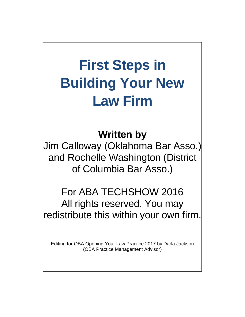# **First Steps in Building Your New Law Firm**

## **Written by**

Jim Calloway (Oklahoma Bar Asso.) and Rochelle Washington (District of Columbia Bar Asso.)

For ABA TECHSHOW 2016 All rights reserved. You may redistribute this within your own firm.

Editing for OBA Opening Your Law Practice 2017 by Darla Jackson (OBA Practice Management Advisor)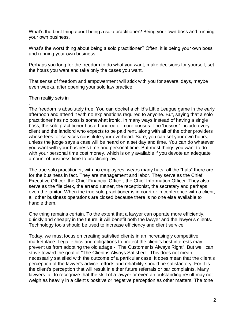What's the best thing about being a solo practitioner? Being your own boss and running your own business.

What's the worst thing about being a solo practitioner? Often, it is being your own boss and running your own business.

Perhaps you long for the freedom to do what you want, make decisions for yourself, set the hours you want and take only the cases you want.

That sense of freedom and empowerment will stick with you for several days, maybe even weeks, after opening your solo law practice.

## Then reality sets in

. The freedom is absolutely true. You can docket a child's Little League game in the early afternoon and attend it with no explanations required to anyone. But, saying that a solo practitioner has no boss is somewhat ironic. In many ways instead of having a single boss, the solo practitioner has a hundred or more bosses. The 'bosses" include every client and the landlord who expects to be paid rent, along with all of the other providers whose fees for services constitute your overhead. Sure, you can set your own hours, unless the judge says a case will be heard on a set day and time. You can do whatever you want with your business time and personal time. But most things you want to do with your personal time cost money, which is only available if you devote an adequate amount of business time to practicing law.

The true solo practitioner, with no employees, wears many hats- all the "hats" there are for the business in fact. They are management and labor. They serve as the Chief Executive Officer, the Chief Financial Officer, the Chief Information Officer. They also serve as the file clerk, the errand runner, the receptionist, the secretary and perhaps even the janitor. When the true solo practitioner is in court or in conference with a client, all other business operations are closed because there is no one else available to handle them.

One thing remains certain. To the extent that a lawyer can operate more efficiently, quickly and cheaply in the future, it will benefit both the lawyer and the lawyer's clients. Technology tools should be used to increase efficiency and client service.

Today, we must focus on creating satisfied clients in an increasingly competitive marketplace. Legal ethics and obligations to protect the client's best interests may prevent us from adopting the old adage - "The Customer is Always Right". But we can strive toward the goal of "The Client is Always Satisfied". This does not mean necessarily satisfied with the outcome of a particular case. It does mean that the client's perception of the lawyer's advice, efforts and reliability should be satisfactory. For it is the client's perception that will result in either future referrals or bar complaints. Many lawyers fail to recognize that the skill of a lawyer or even an outstanding result may not weigh as heavily in a client's positive or negative perception as other matters. The tone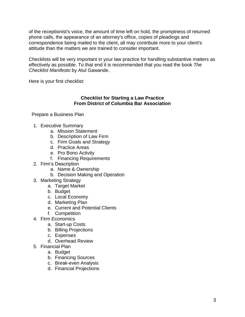of the receptionist's voice, the amount of time left on hold, the promptness of returned phone calls, the appearance of an attorney's office, copies of pleadings and correspondence being mailed to the client, all may contribute more to your client's attitude than the matters we are trained to consider important.

Checklists will be very important in your law practice for handling substantive matters as effectively as possible. To that end it is recommended that you read the book *The Checklist Manifesto* by Atul Gawande.

Here is your first checklist:

## **Checklist for Starting a Law Practice From District of Columbia Bar Association**

Prepare a Business Plan

- 1. Executive Summary
	- a. Mission Statement
	- b. Description of Law Firm
	- c. Firm Goals and Strategy
	- d. Practice Areas
	- e. Pro Bono Activity
	- f. Financing Requirements
- 2. Firm's Description
	- a. Name & Ownership
	- b. Decision Making and Operation
- 3. Marketing Strategy
	- a. Target Market
	- b. Budget
	- c. Local Economy
	- d. Marketing Plan
	- e. Current and Potential Clients
	- f. Competition
- 4. Firm Economics
	- a. Start-up Costs
	- b. Billing Projections
	- c. Expenses
	- d. Overhead Review
- 5. Financial Plan
	- a. Budget
	- b. Financing Sources
	- c. Break-even Analysis
	- d. Financial Projections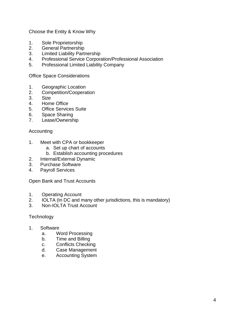Choose the Entity & Know Why

- 1. Sole Proprietorship
- 2. General Partnership
- 3. Limited Liability Partnership
- 4. Professional Service Corporation/Professional Association
- 5. Professional Limited Liability Company

Office Space Considerations

- 1. Geographic Location
- 2. Competition/Cooperation
- 3. Size
- 4. Home Office
- 5. Office Services Suite
- 6. Space Sharing
- 7. Lease/Ownership

## Accounting

- 1. Meet with CPA or bookkeeper
	- a. Set up chart of accounts
	- b. Establish accounting procedures
- 2. Internal/External Dynamic
- 3. Purchase Software
- 4. Payroll Services

Open Bank and Trust Accounts

- 1. Operating Account
- 2. IOLTA (In DC and many other jurisdictions, this is mandatory)
- 3. Non-IOLTA Trust Account

## **Technology**

- 1. Software
	- a. Word Processing
	- b. Time and Billing
	- c. Conflicts Checking
	- d. Case Management
	- e. Accounting System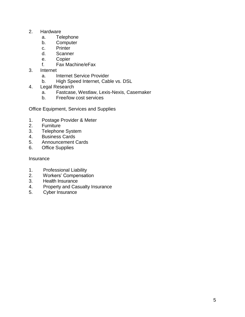- 2. Hardware
	- a. Telephone
	- b. Computer
	- c. Printer
	- d. Scanner
	- e. Copier
	- f. Fax Machine/eFax
- 3. Internet
	- a. Internet Service Provider
	- b. High Speed Internet, Cable vs. DSL
- 4. Legal Research
	- a. Fastcase, Westlaw, Lexis-Nexis, Casemaker
	- b. Free/low cost services

Office Equipment, Services and Supplies

- 1. Postage Provider & Meter
- 2. Furniture
- 3. Telephone System
- 4. Business Cards
- 5. Announcement Cards
- 6. Office Supplies

#### Insurance

- 1. Professional Liability
- 2. Workers' Compensation
- 3. Health Insurance
- 4. Property and Casualty Insurance
- 5. Cyber Insurance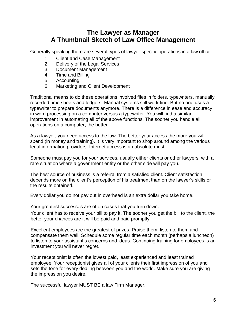## **The Lawyer as Manager A Thumbnail Sketch of Law Office Management**

Generally speaking there are several types of lawyer-specific operations in a law office.

- 1. Client and Case Management
- 2. Delivery of the Legal Services
- 3. Document Management
- 4. Time and Billing
- 5. Accounting
- 6. Marketing and Client Development

Traditional means to do these operations involved files in folders, typewriters, manually recorded time sheets and ledgers. Manual systems still work fine. But no one uses a typewriter to prepare documents anymore. There is a difference in ease and accuracy in word processing on a computer versus a typewriter. You will find a similar improvement in automating all of the above functions. The sooner you handle all operations on a computer, the better.

As a lawyer, you need access to the law. The better your access the more you will spend (in money and training). It is very important to shop around among the various legal information providers. Internet access is an absolute must.

Someone must pay you for your services, usually either clients or other lawyers, with a rare situation where a government entity or the other side will pay you.

The best source of business is a referral from a satisfied client. Client satisfaction depends more on the client's perception of his treatment than on the lawyer's skills or the results obtained.

Every dollar you do not pay out in overhead is an extra dollar you take home.

Your greatest successes are often cases that you turn down.

Your client has to receive your bill to pay it. The sooner you get the bill to the client, the better your chances are it will be paid and paid promptly.

Excellent employees are the greatest of prizes. Praise them, listen to them and compensate them well. Schedule some regular time each month (perhaps a luncheon) to listen to your assistant's concerns and ideas. Continuing training for employees is an investment you will never regret.

Your receptionist is often the lowest paid, least experienced and least trained employee. Your receptionist gives all of your clients their first impression of you and sets the tone for every dealing between you and the world. Make sure you are giving the impression you desire.

The successful lawyer MUST BE a law Firm Manager.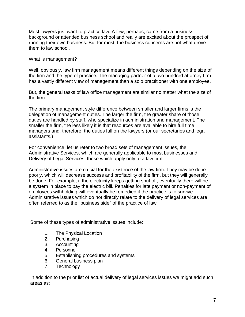Most lawyers just want to practice law. A few, perhaps, came from a business background or attended business school and really are excited about the prospect of running their own business. But for most, the business concerns are not what drove them to law school.

## What is management?

Well, obviously, law firm management means different things depending on the size of the firm and the type of practice. The managing partner of a two hundred attorney firm has a vastly different view of management than a solo practitioner with one employee.

But, the general tasks of law office management are similar no matter what the size of the firm.

The primary management style difference between smaller and larger firms is the delegation of management duties. The larger the firm, the greater share of those duties are handled by staff, who specialize in administration and management. The smaller the firm, the less likely it is that resources are available to hire full time managers and, therefore, the duties fall on the lawyers (or our secretaries and legal assistants.)

For convenience, let us refer to two broad sets of management issues, the Administrative Services, which are generally applicable to most businesses and Delivery of Legal Services, those which apply only to a law firm.

Administrative issues are crucial for the existence of the law firm. They may be done poorly, which will decrease success and profitability of the firm, but they will generally be done. For example, if the electricity keeps getting shut off, eventually there will be a system in place to pay the electric bill. Penalties for late payment or non-payment of employees withholding will eventually be remedied if the practice is to survive. Administrative issues which do not directly relate to the delivery of legal services are often referred to as the "business side" of the practice of law.

Some of these types of administrative issues include:

- 1. The Physical Location
- 2. Purchasing
- 3. Accounting
- 4. Personnel
- 5. Establishing procedures and systems
- 6. General business plan
- 7. Technology

In addition to the prior list of actual delivery of legal services issues we might add such areas as: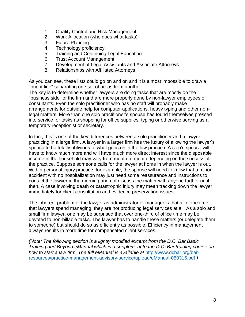- 1. Quality Control and Risk Management
- 2. Work Allocation (who does what tasks)
- 3. Future Planning
- 4. Technology proficiency
- 5. Training and Continuing Legal Education
- 6. Trust Account Management
- 7. Development of Legal Assistants and Associate Attorneys
- 8. Relationships with Affiliated Attorneys

As you can see, these lists could go on and on and it is almost impossible to draw a "bright line" separating one set of areas from another.

The key is to determine whether lawyers are doing tasks that are mostly on the "business side" of the firm and are more properly done by non-lawyer employees or consultants. Even the solo practitioner who has no staff will probably make arrangements for outside help for computer applications, heavy typing and other nonlegal matters. More than one solo practitioner's spouse has found themselves pressed into service for tasks as shopping for office supplies, typing or otherwise serving as a temporary receptionist or secretary.

In fact, this is one of the key differences between a solo practitioner and a lawyer practicing in a large firm. A lawyer in a larger firm has the luxury of allowing the lawyer's spouse to be totally oblivious to what goes on in the law practice. A solo's spouse will have to know much more and will have much more direct interest since the disposable income in the household may vary from month to month depending on the success of the practice. Suppose someone calls for the lawyer at home in when the lawyer is out. With a personal injury practice, for example, the spouse will need to know that a minor accident with no hospitalization may just need some reassurance and instructions to contact the lawyer in the morning and not discuss the matter with anyone further until then. A case involving death or catastrophic injury may mean tracking down the lawyer immediately for client consultation and evidence preservation issues.

The inherent problem of the lawyer as administrator or manager is that all of the time that lawyers spend managing, they are not producing legal services at all. As a solo and small firm lawyer, one may be surprised that over one-third of office time may be devoted to non-billable tasks. The lawyer has to handle these matters (or delegate them to someone) but should do so as efficiently as possible. Efficiency in management always results in more time for compensated client services.

*(Note: The following section is a lightly modified excerpt from the D.C. Bar Basic Training and Beyond eManual which is a supplement to the D.C. Bar training course on how to start a law firm. The full eManual is available at* [http://www.dcbar.org/bar](http://www.dcbar.org/bar-resources/practice-management-advisory-service/upload/eManual-050316.pdf)[resources/practice-management-advisory-service/upload/eManual-050316.pdf](http://www.dcbar.org/bar-resources/practice-management-advisory-service/upload/eManual-050316.pdf) *)*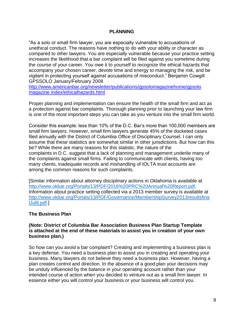## **PLANNING**

"As a solo or small firm lawyer, you are especially vulnerable to accusations of unethical conduct. The reasons have nothing to do with your ability or character as compared to other lawyers. You are especially vulnerable because your practice setting increases the likelihood that a bar complaint will be filed against you sometime during the course of your career. You owe it to yourself to recognize the ethical hazards that accompany your chosen career, devote time and energy to managing the risk, and be vigilant in protecting yourself against accusations of misconduct." Benjamin Cowgill GPSSOLO January/February 2008

<http://www.americanbar.org/newsletter/publications/gpsolomagazinehome/gpsolo> magazine index/ethicalhazards.html

Proper planning and implementation can ensure the health of the small firm and act as a protection against bar complaints. Thorough planning prior to launching your law firm is one of the most important steps you can take as you venture into the small firm world.

Consider this example: less than 10% of the D.C. Bar's more than 100,000 members are small firm lawyers. However, small firm lawyers generate 45% of the docketed cases filed annually with the District of Columbia Office of Disciplinary Counsel. I can only assume that these statistics are somewhat similar in other jurisdictions. But how can this be? While there are many reasons for this statistic, the nature of the complaints in D.C. suggest that a lack of planning and management underlie many of the complaints against small firms. Failing to communicate with clients, having too many clients, inadequate records and mishandling of IOLTA trust accounts are among the common reasons for such complaints.

[Similar information about attorney disciplinary actions in Oklahoma is available at [http://www.okbar.org/Portals/13/PDF/2016%20PRC%20Annual%20Report.pdf.](http://www.okbar.org/Portals/13/PDF/2016%20PRC%20Annual%20Report.pdf) Information about practice setting collected via a 2013 member survey is available at [http://www.okbar.org/Portals/13/PDF/Governance/MembershipSurvey2013resultsfina](http://www.okbar.org/Portals/13/PDF/Governance/MembershipSurvey2013resultsfinalJul8.pdf) [lJul8.pdf.](http://www.okbar.org/Portals/13/PDF/Governance/MembershipSurvey2013resultsfinalJul8.pdf)]

## **The Business Plan**

## **(Note: District of Columbia Bar Association Business Plan Startup Template is attached at the end of these materials to assist you in creation of your own business plan.)**

So how can you avoid a bar complaint? Creating and implementing a business plan is a key defense. You need a business plan to assist you in creating and operating your business. Many lawyers do not believe they need a business plan. However, having a plan creates control and direction. In the absence of a good plan your decisions may be unduly influenced by the balance in your operating account rather than your intended course of action when you decided to venture out as a small firm lawyer. In essence either you will control your business or your business will control you.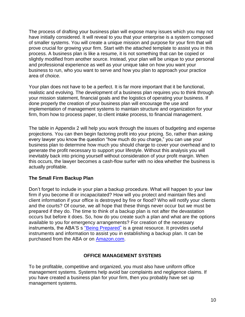The process of drafting your business plan will expose many issues which you may not have initially considered. It will reveal to you that your enterprise is a system composed of smaller systems. You will create a unique mission and purpose for your firm that will prove crucial for growing your firm. Start with the attached template to assist you in this process. A business plan is like a resume, it is not something that can be copied or slightly modified from another source. Instead, your plan will be unique to your personal and professional experience as well as your unique take on how you want your business to run, who you want to serve and how you plan to approach your practice area of choice.

Your plan does not have to be a perfect. It is far more important that it be functional, realistic and evolving. The development of a business plan requires you to think through your mission statement, financial goals and the logistics of operating your business. If done properly the creation of your business plan will encourage the use and implementation of management systems to maintain structure and organization for your firm, from how to process paper, to client intake process, to financial management.

The table in Appendix 2 will help you work through the issues of budgeting and expense projections. You can then begin factoring profit into your pricing. So, rather than asking every lawyer you know the question "how much do you charge," you can use your business plan to determine how much you should charge to cover your overhead and to generate the profit necessary to support your lifestyle. Without this analysis you will inevitably back into pricing yourself without consideration of your profit margin. When this occurs, the lawyer becomes a cash-flow surfer with no idea whether the business is actually profitable.

## **The Small Firm Backup Plan**

Don't forget to include in your plan a backup procedure. What will happen to your law firm if you become ill or incapacitated? How will you protect and maintain files and client information if your office is destroyed by fire or flood? Who will notify your clients and the courts? Of course, we all hope that these things never occur but we must be prepared if they do. The time to think of a backup plan is not after the devastation occurs but before it does. So, how do you create such a plan and what are the options available to you for emergency arrangements? For creation of the necessary instruments, the ABA'S s "Being Prepared" is a great resource. It provides useful instruments and information to assist you in establishing a backup plan. It can be purchased from the ABA or on [Amazon.com.](http://amazon.com/)

## **OFFICE MANAGEMENT SYSTEMS**

To be profitable, competitive and organized, you must also have uniform office management systems. Systems help avoid bar complaints and negligence claims. If you have created a business plan for your firm, then you probably have set up management systems.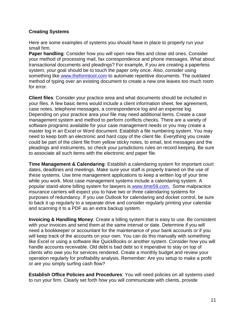## **Creating Systems**

Here are some examples of systems you should have in place to properly run your small firm.

**Paper handling**: Consider how you will open new files and close old ones. Consider your method of processing mail, fax correspondence and phone messages. What about transactional documents and pleadings? For example, if you are creating a paperless system, your goal should be to touch the paper only once. Also, consider using something like [www.theformtool.com](http://www.theformtool.com/) to automate repetitive documents. The outdated method of typing over an existing document to create a new one leaves too much room for error.

**Client files**: Consider your practice area and what documents should be included in your files. A few basic items would include a client information sheet, fee agreement, case notes, telephone messages, a correspondence log and an expense log. Depending on your practice area your file may need additional items. Create a case management system and method to perform conflicts checks. There are a variety of software programs available for your case management needs or you may create a master log in an Excel or Word document. Establish a file numbering system. You may need to keep both an electronic and hard copy of the client file. Everything you create could be part of the client file from yellow sticky notes, to email, text messages and the pleadings and instruments, so check your jurisdictions rules on record keeping. Be sure to associate all such items with the electronic and paper file.

**Time Management & Calendaring**: Establish a calendaring system for important court dates, deadlines and meetings. Make sure your staff is properly trained on the use of these systems. Use time management applications to keep a written log of your time while you work. Most case management systems include a calendaring system. A popular stand-alone billing system for lawyers is [www.time59.com.](http://www.time59.com/) Some malpractice insurance carriers will expect you to have two or three calendaring systems for purposes of redundancy. If you use Outlook for calendaring and docket control, be sure to back it up regularly to a separate drive and consider regularly printing your calendar and scanning it to a PDF as an extra backup system.

**Invoicing & Handling Money**: Create a billing system that is easy to use. Be consistent with your invoices and send them at the same interval or date. Determine if you will need a bookkeeper or accountant for the maintenance of your bank accounts or if you will keep track of the accounts on your own. You can do this manually with something like Excel or using a software like QuickBooks or another system. Consider how you will handle accounts receivable. Old debt is bad debt so it imperative to stay on top of clients who owe you for services rendered. Create a monthly budget and review your operation regularly for profitability analysis. Remember: Are you setup to make a profit or are you simply surfing cash flow?

**Establish Office Policies and Procedures**: You will need policies on all systems used to run your firm. Clearly set forth how you will communicate with clients, provide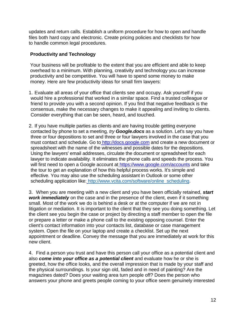updates and return calls. Establish a uniform procedure for how to open and handle files both hard copy and electronic. Create pricing policies and checklists for how to handle common legal procedures.

## **Productivity and Technology**

Your business will be profitable to the extent that you are efficient and able to keep overhead to a minimum. With planning, creativity and technology you can increase productivity and be competitive. You will have to spend some money to make money. Here are few productivity ideas for small firm lawyers:

- 1. Evaluate all areas of your office that clients see and occupy. Ask yourself if you would hire a professional that worked in a similar space. Find a trusted colleague or friend to provide you with a second opinion. If you find that negative feedback is the consensus, make the necessary changes to make it appealing and inviting to clients. Consider everything that can be seen, heard, and touched.
- 2. If you have multiple parties as clients and are having trouble getting everyone contacted by phone to set a meeting*, try Google.docs* as a solution. Let's say you have three or four depositions to set and three or four lawyers involved in the case that you must contact and schedule. Go to [http://docs.google.com](http://docs.google.com/) and create a new document or spreadsheet with the name of the witnesses and possible dates for the depositions. Using the lawyers' email addresses, circulate the document or spreadsheet for each lawyer to indicate availability. It eliminates the phone calls and speeds the process. You will first need to open a Google account at <https://www.google.com/accounts> and take the tour to get an explanation of how this helpful process works. It's simple and effective. You may also use the scheduling assistant in Outlook or some other scheduling application like: [http://www.vcita.com/software/online\\_scheduling.](http://www.vcita.com/software/online_scheduling)

3. When you are meeting with a new client and you have been officially retained, *start work immediately* on the case and in the presence of the client, even if it something small. Most of the work we do is behind a desk or at the computer if we are not in litigation or mediation. It is important to the client that they see you doing something. Let the client see you begin the case or project by directing a staff member to open the file or prepare a letter or make a phone call to the existing opposing counsel. Enter the client's contact information into your contacts list, database or case management system. Open the file on your laptop and create a checklist. Set up the next appointment or deadline. Convey the message that you are immediately at work for this new client.

4. Find a person you trust and have this person call your office as a potential client and also *come into your office as a potential client* and evaluate how he or she is greeted, how the office looks, and the overall impression that is made by your staff and the physical surroundings. Is your sign old, faded and in need of painting? Are the magazines dated? Does your waiting area turn people off? Does the person who answers your phone and greets people coming to your office seem genuinely interested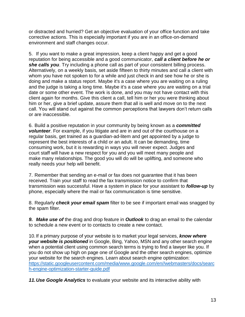or distracted and hurried? Get an objective evaluation of your office function and take corrective actions. This is especially important if you are in an office-on-demand environment and staff changes occur.

5. If you want to make a great impression, keep a client happy and get a good reputation for being accessible and a good communicator, *call a client before he or she calls you*. Try including a phone call as part of your consistent billing process. Alternatively, on a weekly basis, set aside fifteen to thirty minutes and call a client with whom you have not spoken to for a while and just check in and see how he or she is doing and make a status report. Maybe it's a case where you are waiting on a ruling and the judge is taking a long time. Maybe it's a case where you are waiting on a trial date or some other event. The work is done, and you may not have contact with this client again for months. Give this client a call, tell him or her you were thinking about him or her, give a brief update, assure them that all is well and move on to the next call. You will stand out against the common perceptions that lawyers don't return calls or are inaccessible.

6. Build a positive reputation in your community by being known as a *committed volunteer*. For example, if you litigate and are in and out of the courthouse on a regular basis, get trained as a guardian-ad-litem and get appointed by a judge to represent the best interests of a child or an adult. It can be demanding, time consuming work, but it is rewarding in ways you will never expect. Judges and court staff will have a new respect for you and you will meet many people and make many relationships. The good you will do will be uplifting, and someone who really needs your help will benefit.

7. Remember that sending an e-mail or fax does not guarantee that it has been received. Train your staff to read the fax transmission notice to confirm that transmission was successful. Have a system in place for your assistant to *follow-up* by phone, especially where the mail or fax communication is time sensitive.

8. Regularly *check your email spam* filter to be see if important email was snagged by the spam filter.

*9. Make use of* the drag and drop feature in *Outlook* to drag an email to the calendar to schedule a new event or to contacts to create a new contact.

10.If a primary purpose of your website is to market your legal services, *know where your website is positioned* in Google, Bing, Yahoo, MSN and any other search engine when a potential client using common search terms is trying to find a lawyer like you. If you do not show up high on page one of Google and the other search engines, optimize your website for the search engines. Learn about search engine optimization: [https://static.googleusercontent.com/media/www.google.com/en//webmasters/docs/searc](https://static.googleusercontent.com/media/www.google.com/en/webmasters/docs/search-engine-optimization-starter-guide.pdf) [h-engine-optimization-starter-guide.pdf](https://static.googleusercontent.com/media/www.google.com/en/webmasters/docs/search-engine-optimization-starter-guide.pdf)

*11.Use Google Analytics* to evaluate your website and its interactive ability with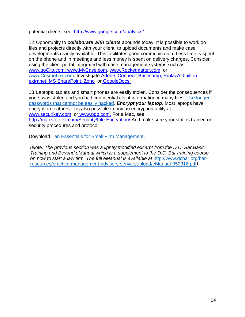potential clients: see, <http://www.google.com/analytics/>

12.Opportunity to *collaborate with clients* abounds today. It is possible to work on files and projects directly with your client, to upload documents and make case developments readily available. This facilitates good communication. Less time is spent on the phone and in meetings and less money is spent on delivery charges. Consider using the client portal integrated with case management systems such as [www.goClio.com,](http://www.goclio.com/) [www.MyCase.com,](http://www.mycase.com/) [www.Rocketmatter.com,](http://www.rocketmatter.com/) or [www.CosmoLex.com.](http://www.cosmolex.com/) Investigate Adobe Connect, Basecamp, Prolaw's built-in extranet, MS SharePoint, Zoho or GoogleDocs.

13.Laptops, tablets and smart phones are easily stolen. Consider the consequences if yours was stolen and you had confidential client information in many files. [Use longer](http://mashable.com/2017/08/09/nist-password-guidelines/#.t7tUbwb_iqy)  [passwords that cannot be easily hacked.](http://mashable.com/2017/08/09/nist-password-guidelines/#.t7tUbwb_iqy) *Encrypt your laptop*. Most laptops have encryption features. It is also possible to buy an encryption utility at [www.securikey.com](http://www.securikey.com/) or [www.pgp.com.](http://www.pgp.com/) For a Mac, see <http://mac.sofotex.com/Security/File> **Encryption/** And make sure your staff is trained on security procedures and protocol.

Download [Ten Essentials for Small Firm Management.](http://www.dcbar.org/bar-resources/practice-management-advisory-service/upload/Ten-Essentials-for-Small-Firm-Management_March2014.pdf)

*(Note: The previous section was a lightly modified excerpt from the D.C. Bar Basic Training and Beyond eManual which is a supplement to the D.C. Bar training course on how to start a law firm. The full eManual is available at* [http://www.dcbar.org/bar](http://www.dcbar.org/bar-resources/practice-management-advisory-service/upload/eManual-050316.pdf)[resources/practice-management-advisory-service/upload/eManual-050316.pdf](http://www.dcbar.org/bar-resources/practice-management-advisory-service/upload/eManual-050316.pdf)*)*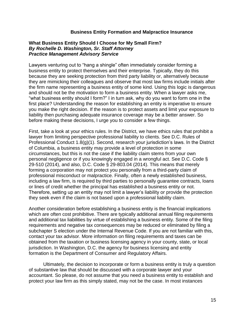#### **Business Entity Formation and Malpractice Insurance**

#### **What Business Entity Should I Choose for My Small Firm?** *By Rochelle D. Washington, Sr. Staff Attorney Practice Management Advisory Service*

Lawyers venturing out to "hang a shingle" often immediately consider forming a business entity to protect themselves and their enterprise. Typically, they do this because they are seeking protection from third party liability or, alternatively because they are mimicking their colleagues and observe that most law firms include initials after the firm name representing a business entity of some kind. Using this logic is dangerous and should not be the motivation to form a business entity. When a lawyer asks me, "what business entity should I form?" I in turn ask, why do you want to form one in the first place? Understanding the reason for establishing an entity is imperative to ensure you make the right decision. If the reason is to protect assets and limit your exposure to liability then purchasing adequate insurance coverage may be a better answer. So before making these decisions, I urge you to consider a few things.

First, take a look at your ethics rules. In the District, we have ethics rules that prohibit a lawyer from limiting perspective professional liability to clients. See D.C. Rules of Professional Conduct 1.8(g)(1). Second, research your jurisdiction's laws. In the District of Columbia, a business entity may provide a level of protection in some circumstances, but this is not the case if the liability claim stems from your own personal negligence or if you knowingly engaged in a wrongful act. See D.C. Code § 29-510 (2014), and also, D.C. Code § 29-803.04 (2014). This means that merely forming a corporation may not protect you personally from a third-party claim of professional misconduct or malpractice. Finally, often a newly established business, including a law firm, is required by third parties to personally guarantee contracts, loans or lines of credit whether the principal has established a business entity or not. Therefore, setting up an entity may not limit a lawyer's liability or provide the protection they seek even if the claim is not based upon a professional liability claim.

Another consideration before establishing a business entity is the financial implications which are often cost prohibitive. There are typically additional annual filing requirements and additional tax liabilities by virtue of establishing a business entity. Some of the filing requirements and negative tax consequences may be reduced or eliminated by filing a subchapter S election under the Internal Revenue Code. If you are not familiar with this, contact your tax advisor. More information on filing requirements and taxes can be obtained from the taxation or business licensing agency in your county, state, or local jurisdiction. In Washington, D.C. the agency for business licensing and entity formation is the Department of Consumer and Regulatory Affairs.

Ultimately, the decision to incorporate or form a business entity is truly a question of substantive law that should be discussed with a corporate lawyer and your accountant. So please, do not assume that you need a business entity to establish and protect your law firm as this simply stated, may not be the case. In most instances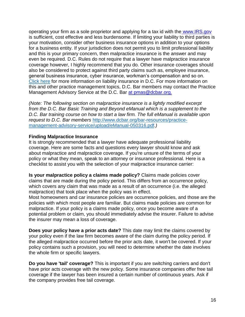operating your firm as a sole proprietor and applying for a tax id with the [www.IRS.gov](http://www.irs.gov/) is sufficient, cost effective and less burdensome. If limiting your liability to third parties is your motivation, consider other business insurance options in addition to your options for a business entity. If your jurisdiction does not permit you to limit professional liability and this is your primary concern, then malpractice insurance is the answer and may even be required. D.C. Rules do not require that a lawyer have malpractice insurance coverage however, I highly recommend that you do. Other insurance coverages should also be considered to protect against third party claims such as, employee insurance, general business insurance, cyber insurance, workman's compensation and so on. [Click here](https://dcra.dc.gov/sites/default/files/dc/sites/disb/page_content/attachments/DISBConsumerGuideIntroductiontoLiabilityInsurance.pdf) for more information on liability insurance in D.C. For more information on this and other practice management topics, D.C. Bar members may contact the Practice Management Advisory Service [at](mailto:at_pmas@dcbar.org) the D.C. Bar at pmas@dcbar.org.

*(Note: The following section on malpractice insurance is a lightly modified excerpt from the D.C. Bar Basic Training and Beyond eManual which is a supplement to the D.C. Bar training course on how to start a law firm. The full eManual is available upon request to D.C. Bar members* [http://www.dcbar.org/bar-resources/practice](http://www.dcbar.org/bar-resources/practice-management-advisory-service/upload/eManual-050316.pdf)[management-advisory-service/upload/eManual-050316.pdf](http://www.dcbar.org/bar-resources/practice-management-advisory-service/upload/eManual-050316.pdf)*.)*

## **Finding Malpractice Insurance**

It is strongly recommended that a lawyer have adequate professional liability coverage. Here are some facts and questions every lawyer should know and ask about malpractice and malpractice coverage. If you're unsure of the terms of your policy or what they mean, speak to an attorney or insurance professional. Here is a checklist to assist you with the selection of your malpractice insurance carrier:

**Is your malpractice policy a claims made policy?** Claims made policies cover claims that are made during the policy period. This differs from an occurrence policy, which covers any claim that was made as a result of an occurrence (i.e. the alleged malpractice) that took place when the policy was in effect.

Most homeowners and car insurance policies are occurrence policies, and those are the policies with which most people are familiar. But claims made policies are common for malpractice. If your policy is a claims made policy, once you become aware of a potential problem or claim, you should immediately advise the insurer. Failure to advise the insurer may mean a loss of coverage.

**Does your policy have a prior acts date?** This date may limit the claims covered by your policy even if the law firm becomes aware of the claim during the policy period. If the alleged malpractice occurred before the prior acts date, it won't be covered. If your policy contains such a provision, you will need to determine whether the date involves the whole firm or specific lawyers.

**Do you have 'tail' coverage?** This is important if you are switching carriers and don't have prior acts coverage with the new policy. Some insurance companies offer free tail coverage if the lawyer has been insured a certain number of continuous years. Ask if the company provides free tail coverage.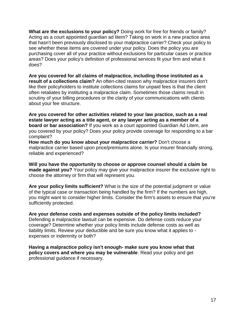**What are the exclusions to your policy?** Doing work for free for friends or family? Acting as a court appointed guardian ad litem? Taking on work in a new practice area that hasn't been previously disclosed to your malpractice carrier? Check your policy to see whether these items are covered under your policy. Does the policy you are purchasing cover all of your practice without exclusions for particular cases or practice areas? Does your policy's definition of professional services fit your firm and what it does?

**Are you covered for all claims of malpractice, including those instituted as a result of a collections claim?** An often-cited reason why malpractice insurers don't like their policyholders to institute collections claims for unpaid fees is that the client often retaliates by instituting a malpractice claim. Sometimes those claims result in scrutiny of your billing procedures or the clarity of your communications with clients about your fee structure.

**Are you covered for other activities related to your law practice, such as a real estate lawyer acting as a title agent, or any lawyer acting as a member of a board or bar association?** If you work as a court appointed Guardian Ad Litem, are you covered by your policy? Does your policy provide coverage for responding to a bar complaint?

**How much do you know about your malpractice carrier?** Don't choose a malpractice carrier based upon price/premiums alone. Is your insurer financially strong, reliable and experienced?

**Will you have the opportunity to choose or approve counsel should a claim be made against you?** Your policy may give your malpractice insurer the exclusive right to choose the attorney or firm that will represent you.

**Are your policy limits sufficient?** What is the size of the potential judgment or value of the typical case or transaction being handled by the firm? If the numbers are high, you might want to consider higher limits. Consider the firm's assets to ensure that you're sufficiently protected.

**Are your defense costs and expenses outside of the policy limits included?**  Defending a malpractice lawsuit can be expensive. Do defense costs reduce your coverage? Determine whether your policy limits include defense costs as well as liability limits. Review your deductible and be sure you know what it applies to expenses or indemnity or both?

**Having a malpractice policy isn't enough- make sure you know what that policy covers and where you may be vulnerable**. Read your policy and get professional guidance if necessary.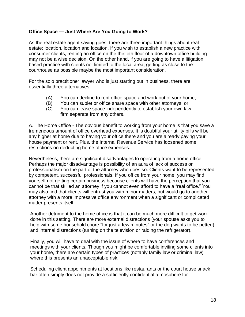## **Office Space — Just Where Are You Going to Work?**

As the real estate agent saying goes, there are three important things about real estate; location, location and location. If you wish to establish a new practice with consumer clients, renting an office on the thirtieth floor of a downtown office building may not be a wise decision. On the other hand, if you are going to have a litigation based practice with clients not limited to the local area, getting as close to the courthouse as possible maybe the most important consideration.

For the solo practitioner lawyer who is just starting out in business, there are essentially three alternatives:

- (A) You can decline to rent office space and work out of your home,
- (B) You can sublet or office share space with other attorneys, or
- (C) You can lease space independently to establish your own law firm separate from any others.

A. The Home Office - The obvious benefit to working from your home is that you save a tremendous amount of office overhead expenses. It is doubtful your utility bills will be any higher at home due to having your office there and you are already paying your house payment or rent. Plus, the Internal Revenue Service has loosened some restrictions on deducting home office expenses.

Nevertheless, there are significant disadvantages to operating from a home office. Perhaps the major disadvantage is possibility of an aura of lack of success or professionalism on the part of the attorney who does so. Clients want to be represented by competent, successful professionals. If you office from your home, you may find yourself not getting certain business because clients will have the perception that you cannot be that skilled an attorney if you cannot even afford to have a "real office." You may also find that clients will entrust you with minor matters, but would go to another attorney with a more impressive office environment when a significant or complicated matter presents itself.

Another detriment to the home office is that it can be much more difficult to get work done in this setting. There are more external distractions (your spouse asks you to help with some household chore "for just a few minutes" or the dog wants to be petted) and internal distractions (turning on the television or raiding the refrigerator).

Finally, you will have to deal with the issue of where to have conferences and meetings with your clients. Though you might be comfortable inviting some clients into your home, there are certain types of practices (notably family law or criminal law) where this presents an unacceptable risk.

Scheduling client appointments at locations like restaurants or the court house snack bar often simply does not provide a sufficiently confidential atmosphere for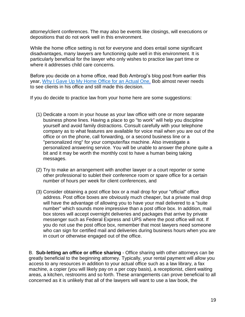attorney/client conferences. The may also be events like closings, will executions or depositions that do not work well in this environment.

While the home office setting is not for everyone and does entail some significant disadvantages, many lawyers are functioning quite well in this environment. It is particularly beneficial for the lawyer who only wishes to practice law part time or where it addresses child care concerns.

Before you decide on a home office, read Bob Ambrogi's blog post from earlier this year, [Why I Gave Up My Home Office for an Actual One.](https://www.lawsitesblog.com/2016/01/why-i-gave-up-my-home-office-for-an-actual-one.html) Bob almost never needs to see clients in his office and still made this decision.

If you do decide to practice law from your home here are some suggestions:

- (1) Dedicate a room in your house as your law office with one or more separate business phone lines. Having a place to go "to work" will help you discipline yourself and avoid family distractions. Consult carefully with your telephone company as to what features are available for voice mail when you are out of the office or on the phone, call forwarding, or a second business line or a "personalized ring" for your computer/fax machine. Also investigate a personalized answering service. You will be unable to answer the phone quite a bit and it may be worth the monthly cost to have a human being taking messages.
- (2) Try to make an arrangement with another lawyer or a court reporter or some other professional to sublet their conference room or spare office for a certain number of hours per week for client conferences, and
- (3) Consider obtaining a post office box or a mail drop for your "official" office address. Post office boxes are obviously much cheaper, but a private mail drop will have the advantage of allowing you to have your mail delivered to a "suite" number" which sounds more impressive than a post office box. In addition, mail box stores will accept overnight deliveries and packages that arrive by private messenger such as Federal Express and UPS where the post office will not. If you do not use the post office box, remember that most lawyers need someone who can sign for certified mail and deliveries during business hours when you are in court or otherwise engaged out of the office.

B. **Sub-letting an office or office sharing** - Office sharing with other attorneys can be greatly beneficial to the beginning attorney. Typically, your rental payment will allow you access to any resources in addition to your actual office such as a law library, a fax machine, a copier (you will likely pay on a per copy basis), a receptionist, client waiting areas, a kitchen, restrooms and so forth. These arrangements can prove beneficial to all concerned as it is unlikely that all of the lawyers will want to use a law book, the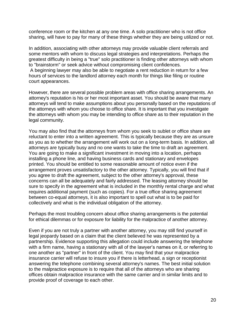conference room or the kitchen at any one time. A solo practitioner who is not office sharing, will have to pay for many of these things whether they are being utilized or not.

In addition, associating with other attorneys may provide valuable client referrals and some mentors with whom to discuss legal strategies and interpretations. Perhaps the greatest difficulty in being a "true" solo practitioner is finding other attorneys with whom to "brainstorm" or seek advice without compromising client confidences. A beginning lawyer may also be able to negotiate a rent reduction in return for a few hours of services to the landlord attorney each month for things like filing or routine

court appearances.

However, there are several possible problem areas with office sharing arrangements. An attorney's reputation is his or her most important asset. You should be aware that many attorneys will tend to make assumptions about you personally based on the reputations of the attorneys with whom you choose to office share. It is important that you investigate the attorneys with whom you may be intending to office share as to their reputation in the legal community.

You may also find that the attorneys from whom you seek to sublet or office share are reluctant to enter into a written agreement. This is typically because they are as unsure as you as to whether the arrangement will work out on a long-term basis. In addition, all attorneys are typically busy and no one wants to take the time to draft an agreement. You are going to make a significant investment in moving into a location, perhaps installing a phone line, and having business cards and stationary and envelopes printed. You should be entitled to some reasonable amount of notice even if the arrangement proves unsatisfactory to the other attorney. Typically, you will find that if you agree to draft the agreement, subject to the other attorney's approval, these concerns can all be adequately and fairly addressed. The leasing attorney should be sure to specify in the agreement what is included in the monthly rental charge and what requires additional payment (such as copies). For a true office sharing agreement between co-equal attorneys, it is also important to spell out what is to be paid for collectively and what is the individual obligation of the attorney.

Perhaps the most troubling concern about office sharing arrangements is the potential for ethical dilemmas or for exposure for liability for the malpractice of another attorney.

Even if you are not truly a partner with another attorney, you may still find yourself in legal jeopardy based on a claim that the client believed he was represented by a partnership. Evidence supporting this allegation could include answering the telephone with a firm name, having a stationary with all of the lawyer's names on it, or referring to one another as "partner" in front of the client. You may find that your malpractice insurance carrier will refuse to insure you if there is letterhead, a sign or receptionist answering the telephone combining several attorney's names. The best initial solution to the malpractice exposure is to require that all of the attorneys who are sharing offices obtain malpractice insurance with the same carrier and in similar limits and to provide proof of coverage to each other.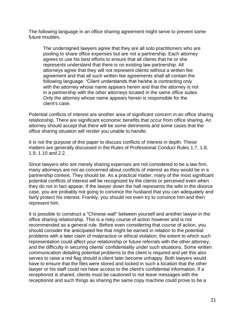The following language in an office sharing agreement might serve to prevent some future troubles.

The undersigned lawyers agree that they are all solo practitioners who are pooling to share office expenses but are not a partnership. Each attorney agrees to use his best efforts to ensure that all clients that he or she represents understand that there is no existing law partnership. All attorneys agree that they will not represent clients without a written fee agreement and that all such written fee agreements shall all contain the following language: "Client understands that he/she is contracting only with the attorney whose name appears herein and that the attorney is not in a partnership with the other attorneys located in the same office suites. Only the attorney whose name appears herein is responsible for the client's case.

Potential conflicts of interest are another area of significant concern in an office sharing relationship. There are significant economic benefits that occur from office sharing. An attorney should accept that there will be some detriments and some cases that the office sharing situation will render you unable to handle.

It is not the purpose of this paper to discuss conflicts of interest in depth. These matters are generally discussed in the Rules of Professional Conduct Rules 1.7, 1.8, 1.9, 1.10 and 2.2.

Since lawyers who are merely sharing expenses are not considered to be a law firm, many attorneys are not as concerned about conflicts of interest as they would be in a partnership context. They should be. As a practical matter, many of the most significant potential conflicts of interest will be recognized by the clients or perceived even when they do not in fact appear. If the lawyer down the hall represents the wife in the divorce case, you are probably not going to convince the husband that you can adequately and fairly protect his interest. Frankly, you should not even try to convince him and then represent him.

It is possible to construct a "Chinese wall" between yourself and another lawyer in the office sharing relationship. This is a risky course of action however and is not recommended as a general rule. Before even considering that course of action, you should consider the anticipated fee that might be earned in relation to the potential problems with a later claim of malpractice or ethical violation, the extent to which such representation could affect your relationship or future referrals with the other attorney, and the difficulty in securing clients' confidentiality under such situations. Some written communication detailing potential problems to the client is required and yet this also serves to raise a red flag should a client later become unhappy. Both lawyers would have to ensure that the files were stored and locked in such a location that the other lawyer or his staff could not have access to the client's confidential information. If a receptionist is shared, clients must be cautioned to not leave messages with the receptionist and such things as sharing the same copy machine could prove to be a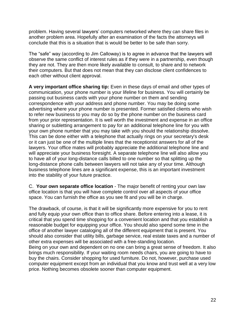problem. Having several lawyers' computers networked where they can share files in another problem area. Hopefully after an examination of the facts the attorneys will conclude that this is a situation that is would be better to be safe than sorry.

The "safe" way (according to Jim Calloway) is to agree in advance that the lawyers will observe the same conflict of interest rules as if they were in a partnership, even though they are not. They are then more likely available to consult, to share and to network their computers. But that does not mean that they can disclose client confidences to each other without client approval.

**A very important office sharing tip:** Even in these days of email and other types of communication, your phone number is your lifeline for business. You will certainly be passing out business cards with your phone number on them and sending correspondence with your address and phone number. You may be doing some advertising where your phone number is presented. Former satisfied clients who wish to refer new business to you may do so by the phone number on the business card from your prior representation. It is well worth the investment and expense in an office sharing or subletting arrangement to pay for an additional telephone line for you with your own phone number that you may take with you should the relationship dissolve. This can be done either with a telephone that actually rings on your secretary's desk or it can just be one of the multiple lines that the receptionist answers for all of the lawyers. Your office mates will probably appreciate the additional telephone line and will appreciate your business foresight. A separate telephone line will also allow you to have all of your long-distance calls billed to one number so that splitting up the long-distance phone calls between lawyers will not take any of your time. Although business telephone lines are a significant expense, this is an important investment into the stability of your future practice.

C. **Your own separate office location** - The major benefit of renting your own law office location is that you will have complete control over all aspects of your office space. You can furnish the office as you see fit and you will be in charge.

The drawback, of course, is that it will be significantly more expensive for you to rent and fully equip your own office than to office share. Before entering into a lease, it is critical that you spend time shopping for a convenient location and that you establish a reasonable budget for equipping your office. You should also spend some time in the office of another lawyer cataloging all of the different equipment that is present. You should also consider that utility bills, garbage service, real estate taxes and a number of other extra expenses will be associated with a free-standing location.

Being on your own and dependent on no one can bring a great sense of freedom. It also brings much responsibility. If your waiting room needs chairs, you are going to have to buy the chairs. Consider shopping for used furniture. Do not, however, purchase used computer equipment except from an individual that you know and trust well at a very low price. Nothing becomes obsolete sooner than computer equipment.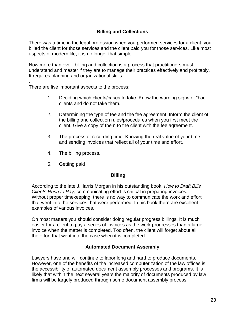## **Billing and Collections**

There was a time in the legal profession when you performed services for a client, you billed the client for those services and the client paid you for those services. Like most aspects of modern life, it is no longer that simple.

Now more than ever, billing and collection is a process that practitioners must understand and master if they are to manage their practices effectively and profitably. It requires planning and organizational skills

. There are five important aspects to the process:

- 1. Deciding which clients/cases to take. Know the warning signs of "bad" clients and do not take them.
- 2. Determining the type of fee and the fee agreement. Inform the client of the billing and collection rules/procedures when you first meet the client. Give a copy of them to the client with the fee agreement.
- 3. The process of recording time. Knowing the real value of your time and sending invoices that reflect all of your time and effort.
- 4. The billing process.
- 5. Getting paid

## **Billing**

According to the late J.Harris Morgan in his outstanding book, *How to Draft Bills Clients Rush to Pay,* communicating effort is critical in preparing invoices. Without proper timekeeping, there is no way to communicate the work and effort that went into the services that were performed. In his book there are excellent examples of various invoices.

On most matters you should consider doing regular progress billings. It is much easier for a client to pay a series of invoices as the work progresses than a large invoice when the matter is completed. Too often, the client will forget about all the effort that went into the case when it is completed.

## **Automated Document Assembly**

Lawyers have and will continue to labor long and hard to produce documents. However, one of the benefits of the increased computerization of the law offices is the accessibility of automated document assembly processes and programs. It is likely that within the next several years the majority of documents produced by law firms will be largely produced through some document assembly process.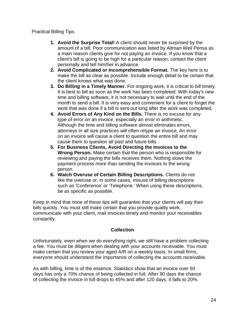Practical Billing Tips

- **1. Avoid the Surprise Total!** A client should never be surprised by the amount of a bill. Poor communication was listed by Altman Weil Pensa as a main reason clients give for not paying an invoice. If you know that a client's bill is going to be high for a particular reason, contact the client personally and tell him/her in advance.
- **2. Avoid Complicated or Incomprehensible Format.** The key here is to make the bill as clear as possible. Include enough detail to be certain that the client knows what was done.
- **3. Do Billing in a Timely Manner.** For ongoing work, it is critical to bill timely. It is best to bill as soon as the work has been completed. With today's new time and billing software, it is not necessary to wait until the end of the month to send a bill. It is very easy and convenient for a client to forget the work that was done if a bill is sent out long after the work was completed.
- **4. Avoid Errors of Any Kind on the Bills.** There is no excuse for any type of error on an invoice, especially an error in arithmetic. Although the time and billing software almost eliminates errors, attorneys in all size practices will often retype an invoice. An error on an invoice will cause a client to question the entire bill and may cause them to question all past and future bills.
- **5. For Business Clients, Avoid Directing the Invoices to the Wrong Person.** Make certain that the person who is responsible for reviewing and paying the bills receives them. Nothing slows the payment process more than sending the invoices to the wrong person.
- **6. Watch Overuse of Certain Billing Descriptions.** Clients do not like the overuse or, in some cases, misuse of billing descriptions such as 'Conference' or 'Telephone.' When using these descriptions, be as specific as possible.

Keep in mind that none of these tips will guarantee that your clients will pay their bills quickly. You must still make certain that you provide quality work, communicate with your client, mail invoices timely and monitor your receivables constantly.

## **Collection**

Unfortunately, even when we do everything right, we still have a problem collecting a fee. You must be diligent when dealing with your accounts receivable. You must make certain that you review your aged A/R on a weekly basis. In small firms, everyone should understand the importance of collecting the accounts receivable.

As with billing, time is of the essence. Statistics show that an invoice over 60 days has only a 70% chance of being collected in full. After 90 days the chance of collecting the invoice in full drops to 45% and after 120 days, it falls to 20%.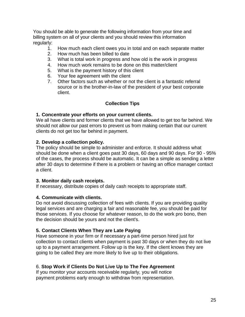You should be able to generate the following information from your time and billing system on all of your clients and you should review this information regularly:

- 1. How much each client owes you in total and on each separate matter
- 2. How much has been billed to date
- 3. What is total work in progress and how old is the work in progress
- 4. How much work remains to be done on this matter/client
- 5. What is the payment history of this client
- 6. Your fee agreement with the client
- 7. Other factors such as whether or not the client is a fantastic referral source or is the brother-in-law of the president of your best corporate client.

## **Collection Tips**

## **1. Concentrate your efforts on your current clients.**

We all have clients and former clients that we have allowed to get too far behind. We should not allow our past errors to prevent us from making certain that our current clients do not get too far behind in payment.

## **2. Develop a collection policy.**

The policy should be simple to administer and enforce. It should address what should be done when a client goes past 30 days, 60 days and 90 days. For 90 - 95% of the cases, the process should be automatic. It can be a simple as sending a letter after 30 days to determine if there is a problem or having an office manager contact a client.

## **3. Monitor daily cash receipts.**

If necessary, distribute copies of daily cash receipts to appropriate staff.

## **4. Communicate with clients.**

Do not avoid discussing collection of fees with clients. If you are providing quality legal services and are charging a fair and reasonable fee, you should be paid for those services. If you choose for whatever reason, to do the work pro bono, then the decision should be yours and not the client's.

## **5. Contact Clients When They are Late Paying**

Have someone in your firm or if necessary a part-time person hired just for collection to contact clients when payment is past 30 days or when they do not live up to a payment arrangement. Follow up is the key. If the client knows they are going to be called they are more likely to live up to their obligations.

## 6. **Stop Work if Clients Do Not Live Up to The Fee Agreement**

If you monitor your accounts receivable regularly, you will notice payment problems early enough to withdraw from representation.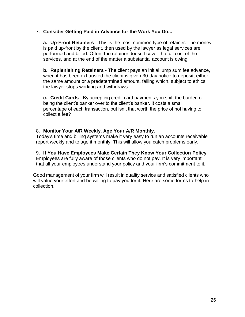## 7. **Consider Getting Paid in Advance for the Work You Do...**

**a. Up-Front Retainers** - This is the most common type of retainer. The money is paid up-front by the client, then used by the lawyer as legal services are performed and billed. Often, the retainer doesn't cover the full cost of the services, and at the end of the matter a substantial account is owing.

**b. Replenishing Retainers** - The client pays an initial lump sum fee advance, when it has been exhausted the client is given 30-day notice to deposit, either the same amount or a predetermined amount, failing which, subject to ethics, the lawyer stops working and withdraws.

**c. Credit Cards** - By accepting credit card payments you shift the burden of being the client's banker over to the client's banker. It costs a small percentage of each transaction, but isn't that worth the price of not having to collect a fee?

## 8. **Monitor Your A/R Weekly. Age Your A/R Monthly.**

Today's time and billing systems make it very easy to run an accounts receivable report weekly and to age it monthly. This will allow you catch problems early.

## 9. **If You Have Employees Make Certain They Know Your Collection Policy**

Employees are fully aware of those clients who do not pay. It is very important that all your employees understand your policy and your firm's commitment to it.

Good management of your firm will result in quality service and satisfied clients who will value your effort and be willing to pay you for it. Here are some forms to help in collection.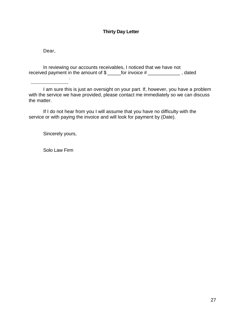## **Thirty Day Letter**

Dear,

In reviewing our accounts receivables, I noticed that we have not received payment in the amount of \$ \_\_\_\_\_for invoice # \_\_\_\_\_\_\_\_\_\_\_\_\_, dated .

I am sure this is just an oversight on your part. If, however, you have a problem with the service we have provided, please contact me immediately so we can discuss the matter.

If I do not hear from you I will assume that you have no difficulty with the service or with paying the invoice and will look for payment by (Date).

Sincerely yours,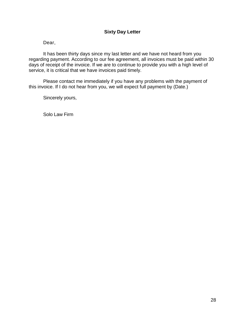Dear,

It has been thirty days since my last letter and we have not heard from you regarding payment. According to our fee agreement, all invoices must be paid within 30 days of receipt of the invoice. If we are to continue to provide you with a high level of service, it is critical that we have invoices paid timely.

Please contact me immediately if you have any problems with the payment of this invoice. If I do not hear from you, we will expect full payment by (Date.)

Sincerely yours,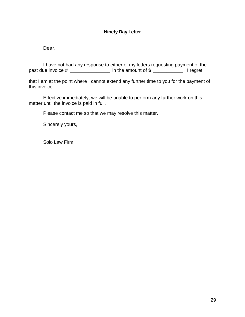## **Ninety Day Letter**

Dear,

I have not had any response to either of my letters requesting payment of the past due invoice  $\#\begin{bmatrix} 1 & 0 & 0 \\ 0 & 1 & 0 \\ 0 & 0 & 0 \end{bmatrix}$  in the amount of  $\$\begin{bmatrix} 1 & 0 & 0 \\ 0 & 1 & 0 \\ 0 & 0 & 0 \end{bmatrix}$ . I regret

that I am at the point where I cannot extend any further time to you for the payment of this invoice.

Effective immediately, we will be unable to perform any further work on this matter until the invoice is paid in full.

Please contact me so that we may resolve this matter.

Sincerely yours,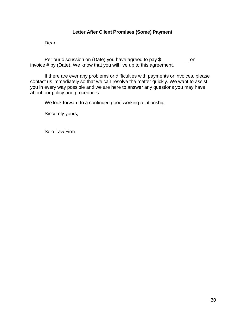## **Letter After Client Promises (Some) Payment**

Dear,

Per our discussion on (Date) you have agreed to pay \$\_\_\_\_\_\_\_\_\_\_ on invoice # by (Date). We know that you will live up to this agreement.

If there are ever any problems or difficulties with payments or invoices, please contact us immediately so that we can resolve the matter quickly. We want to assist you in every way possible and we are here to answer any questions you may have about our policy and procedures.

We look forward to a continued good working relationship.

Sincerely yours,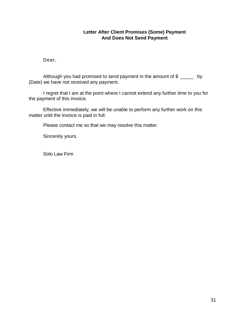## **Letter After Client Promises (Some) Payment And Does Not Send Payment**

Dear,

Although you had promised to send payment in the amount of  $\frac{1}{2}$  \_\_\_\_\_ by (Date) we have not received any payment.

I regret that I am at the point where I cannot extend any further time to you for the payment of this invoice.

Effective immediately, we will be unable to perform any further work on this matter until the invoice is paid in full.

Please contact me so that we may resolve this matter.

Sincerely yours,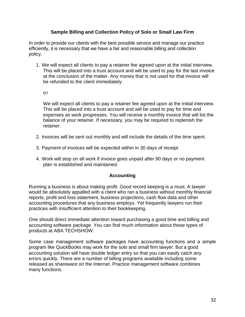## **Sample Billing and Collection Policy of Solo or Small Law Firm**

In order to provide our clients with the best possible service and manage our practice efficiently, it is necessary that we have a fair and reasonable billing and collection policy.

1. We will expect all clients to pay a retainer fee agreed upon at the initial interview. This will be placed into a trust account and will be used to pay for the last invoice at the conclusion of the matter. Any money that is not used for that invoice will be refunded to the client immediately.

or

We will expect all clients to pay a retainer fee agreed upon at the initial interview. This will be placed into a trust account and will be used to pay for time and expenses as work progresses. You will receive a monthly invoice that will list the balance of your retainer. If necessary, you may be required to replenish the retainer.

- 2. Invoices will be sent out monthly and will include the details of the time spent.
- 3. Payment of invoices will be expected within in 30 days of receipt.
- 4. Work will stop on all work if invoice goes unpaid after 90 days or no payment plan is established and maintained.

## **Accounting**

Running a business is about making profit. Good record keeping is a must. A lawyer would be absolutely appalled with a client who ran a business without monthly financial reports, profit and loss statement, business projections, cash flow data and other accounting procedures that any business employs. Yet frequently lawyers run their practices with insufficient attention to their bookkeeping.

One should direct immediate attention toward purchasing a good time and billing and accounting software package. You can find much information about these types of products at ABA TECHSHOW.

Some case management software packages have accounting functions and a simple program like QuickBooks may work for the solo and small firm lawyer. But a good accounting solution will have double ledger entry so that you can easily catch any errors quickly. There are a number of billing programs available including some released as shareware on the Internet. Practice management software combines many functions.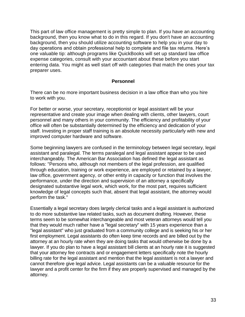This part of law office management is pretty simple to plan. If you have an accounting background, then you know what to do in this regard. If you don't have an accounting background, then you should utilize accounting software to help you in your day to day operations and obtain professional help to complete and file tax returns. Here's one valuable tip: although programs like QuickBooks will set up standard law office expense categories, consult with your accountant about these before you start entering data. You might as well start off with categories that match the ones your tax preparer uses.

#### **Personnel**

There can be no more important business decision in a law office than who you hire to work with you.

For better or worse, your secretary, receptionist or legal assistant will be your representative and create your image when dealing with clients, other lawyers, court personnel and many others in your community. The efficiency and profitability of your office will often be substantially determined by the efficiency and dedication of your staff. Investing in proper staff training is an absolute necessity particularly with new and improved computer hardware and software.

Some beginning lawyers are confused in the terminology between legal secretary, legal assistant and paralegal. The terms paralegal and legal assistant appear to be used interchangeably. The American Bar Association has defined the legal assistant as follows: "Persons who, although not members of the legal profession, are qualified through education, training or work experience, are employed or retained by a lawyer, law office, government agency, or other entity in capacity or function that involves the performance, under the direction and supervision of an attorney a specifically designated substantive legal work, which work, for the most part, requires sufficient knowledge of legal concepts such that, absent that legal assistant, the attorney would perform the task."

Essentially a legal secretary does largely clerical tasks and a legal assistant is authorized to do more substantive law related tasks, such as document drafting. However, these terms seem to be somewhat interchangeable and most veteran attorneys would tell you that they would much rather have a "legal secretary" with 15 years experience than a "legal assistant" who just graduated from a community college and is seeking his or her first employment. Legal assistants do often keep time records and are billed out by the attorney at an hourly rate when they are doing tasks that would otherwise be done by a lawyer. If you do plan to have a legal assistant bill clients at an hourly rate it is suggested that your attorney fee contracts and or engagement letters specifically note the hourly billing rate for the legal assistant and mention that the legal assistant is not a lawyer and cannot therefore give legal advice. Legal assistants can be a valuable resource for the lawyer and a profit center for the firm if they are properly supervised and managed by the attorney.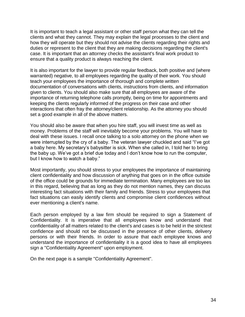It is important to teach a legal assistant or other staff person what they can tell the clients and what they cannot. They may explain the legal processes to the client and how they will operate but they should not advise the clients regarding their rights and duties or represent to the client that they are making decisions regarding the client's case. It is important that an attorney checks the assistant's final work product to ensure that a quality product is always reaching the client.

It is also important for the lawyer to provide regular feedback, both positive and (where warranted) negative, to all employees regarding the quality of their work. You should teach your employees the importance of thorough and complete written documentation of conversations with clients, instructions from clients, and information given to clients. You should also make sure that all employees are aware of the importance of returning telephone calls promptly, being on time for appointments and keeping the clients regularly informed of the progress on their case and other interactions that often fray the attorney/client relationship. As the attorney you should set a good example in all of the above matters.

You should also be aware that when you hire staff, you will invest time as well as money. Problems of the staff will inevitably become your problems. You will have to deal with these issues. I recall once talking to a solo attorney on the phone when we were interrupted by the cry of a baby. The veteran lawyer chuckled and said "I've got a baby here. My secretary's babysitter is sick. When she called in, I told her to bring the baby up. We've got a brief due today and I don't know how to run the computer, but I know how to watch a baby."

Most importantly, you should stress to your employees the importance of maintaining client confidentiality and how discussion of anything that goes on in the office outside of the office could be grounds for immediate termination. Many employees are too lax in this regard, believing that as long as they do not mention names, they can discuss interesting fact situations with their family and friends. Stress to your employees that fact situations can easily identify clients and compromise client confidences without ever mentioning a client's name.

Each person employed by a law firm should be required to sign a Statement of Confidentiality. It is imperative that all employees know and understand that confidentiality of all matters related to the client's and cases is to be held in the strictest confidence and should not be discussed in the presence of other clients, delivery persons or with their friends. In order to assure that each employee knows and understand the importance of confidentiality it is a good idea to have all employees sign a "Confidentiality Agreement" upon employment.

On the next page is a sample "Confidentiality Agreement".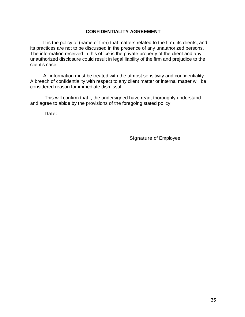## **CONFIDENTIALITY AGREEMENT**

It is the policy of (name of firm) that matters related to the firm, its clients, and its practices are not to be discussed in the presence of any unauthorized persons. The information received in this office is the private property of the client and any unauthorized disclosure could result in legal liability of the firm and prejudice to the client's case.

All information must be treated with the utmost sensitivity and confidentiality. A breach of confidentiality with respect to any client matter or internal matter will be considered reason for immediate dismissal.

This will confirm that I, the undersigned have read, thoroughly understand and agree to abide by the provisions of the foregoing stated policy.

Date: \_\_\_\_\_\_\_\_\_\_\_\_\_\_\_\_\_\_\_\_\_

\_\_\_\_\_\_\_\_\_\_\_\_\_\_\_\_\_\_\_\_\_\_\_\_ Signature of Employee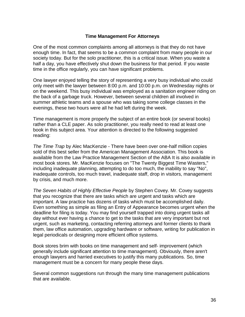## **Time Management For Attorneys**

One of the most common complaints among all attorneys is that they do not have enough time. In fact, that seems to be a common complaint from many people in our society today. But for the solo practitioner, this is a critical issue. When you waste a half a day, you have effectively shut down the business for that period. If you waste time in the office regularly, you can have significant problems.

One lawyer enjoyed telling the story of representing a very busy individual who could only meet with the lawyer between 8:00 p.m. and 10:00 p.m. on Wednesday nights or on the weekend. This busy individual was employed as a sanitation engineer riding on the back of a garbage truck. However, between several children all involved in summer athletic teams and a spouse who was taking some college classes in the evenings, these two hours were all he had left during the week.

Time management is more properly the subject of an entire book (or several books) rather than a CLE paper. As solo practitioner, you really need to read at least one book in this subject area. Your attention is directed to the following suggested reading:

*The Time Trap* by Alec MacKenzie - There have been over one-half million copies sold of this best seller from the American Management Association. This book is available from the Law Practice Management Section of the ABA It is also available in most book stores. Mr. MacKenzie focuses on "The Twenty Biggest Time Wasters," including inadequate planning, attempting to do too much, the inability to say "No", inadequate controls, too much travel, inadequate staff, drop in visitors, management by crisis, and much more.

*The Seven Habits of Highly Effective People* by Stephen Covey. Mr. Covey suggests that you recognize that there are tasks which are urgent and tasks which are important. A law practice has dozens of tasks which must be accomplished daily. Even something as simple as filing an Entry of Appearance becomes urgent when the deadline for filing is today. You may find yourself trapped into doing urgent tasks all day without ever having a chance to get to the tasks that are very important but not urgent, such as marketing, contacting referring attorneys and former clients to thank them, law office automation, upgrading hardware or software, writing for publication in legal periodicals or designing more efficient office systems.

Book stores brim with books on time management and self- improvement (which generally include significant attention to time management). Obviously, there aren't enough lawyers and harried executives to justify this many publications. So, time management must be a concern for many people these days.

Several common suggestions run through the many time management publications that are available.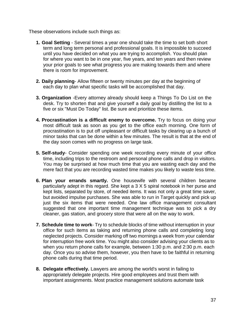These observations include such things as:

- **1. Goal Setting**  Several times a year one should take the time to set both short term and long term personal and professional goals. It is impossible to succeed until you have decided on what you are trying to accomplish. You should plan for where you want to be in one year, five years, and ten years and then review your prior goals to see what progress you are making towards them and where there is room for improvement.
- **2. Daily planning** Allow fifteen or twenty minutes per day at the beginning of each day to plan what specific tasks will be accomplished that day.
- **3. Organization** -Every attorney already should keep a Things To Do List on the desk. Try to shorten that and give yourself a daily goal by distilling the list to a five or six "Must Do Today" list. Be sure and prioritize these items.
- **4. Procrastination is a difficult enemy to overcome.** Try to focus on doing your most difficult task as soon as you get to the office each morning. One form of procrastination is to put off unpleasant or difficult tasks by clearing up a bunch of minor tasks that can be done within a few minutes. The result is that at the end of the day soon comes with no progress on large task.
- **5. Self-study** Consider spending one week recording every minute of your office time, including trips to the restroom and personal phone calls and drop in visitors. You may be surprised at how much time that you are wasting each day and the mere fact that you are recording wasted time makes you likely to waste less time.
- **6. Plan your errands smartly.** One housewife with several children became particularly adept in this regard. She kept a 3 X 5 spiral notebook in her purse and kept lists, separated by store, of needed items. It was not only a great time saver, but avoided impulse purchases. She was able to run in Target quickly and pick up just the six items that were needed. One law office management consultant suggested that one important time management technique was to pick a dry cleaner, gas station, and grocery store that were all on the way to work.
- **7. Schedule time to work** Try to schedule blocks of time without interruption in your office for such items as taking and returning phone calls and completing long neglected projects. Consider marking off two mornings a week from your calendar for interruption free work time. You might also consider advising your clients as to when you return phone calls for example, between 1:30 p.m. and 2:30 p.m. each day. Once you so advise them, however, you then have to be faithful in returning phone calls during that time period.
- **8. Delegate effectively.** Lawyers are among the world's worst in failing to appropriately delegate projects. Hire good employees and trust them with important assignments. Most practice management solutions automate task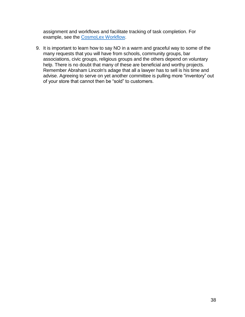assignment and workflows and facilitate tracking of task completion. For example, see the [CosmoLex Workflow.](https://www.youtube.com/watch?v=oRhVRg1FwCs)

9. It is important to learn how to say NO in a warm and graceful way to some of the many requests that you will have from schools, community groups, bar associations, civic groups, religious groups and the others depend on voluntary help. There is no doubt that many of these are beneficial and worthy projects. Remember Abraham Lincoln's adage that all a lawyer has to sell is his time and advise. Agreeing to serve on yet another committee is pulling more "inventory" out of your store that cannot then be "sold" to customers.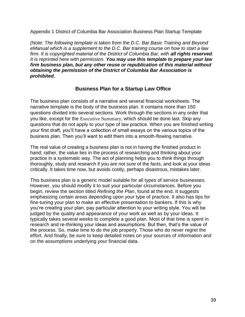Appendix 1 District of Columbia Bar Association Business Plan Startup Template

*(Note: The following template is taken from the D.C. Bar Basic Training and Beyond eManual which is a supplement to the D.C. Bar training course on how to start a law firm. It is copyrighted material of the District of Columbia Bar, with all rights reserved. It is reprinted here with permission. You may use this template to prepare your law firm business plan, but any other reuse or republication of this material without obtaining the permission of the District of Columbia Bar Association is prohibited.*

## **Business Plan for a Startup Law Office**

The business plan consists of a narrative and several financial worksheets. The narrative template is the body of the business plan. It contains more than 150 questions divided into several sections. Work through the sections in any order that you like, except for the Executive Summary, which should be done last. Skip any questions that do not apply to your type of law practice. When you are finished writing your first draft, you'll have a collection of small essays on the various topics of the business plan. Then you'll want to edit them into a smooth-flowing narrative.

The real value of creating a business plan is not in having the finished product in hand; rather, the value lies in the process of researching and thinking about your practice in a systematic way. The act of planning helps you to think things through thoroughly, study and research if you are not sure of the facts, and look at your ideas critically. It takes time now, but avoids costly, perhaps disastrous, mistakes later.

This business plan is a generic model suitable for all types of service businesses. However, you should modify it to suit your particular circumstances. Before you begin, review the section titled *Refining the Plan*, found at the end. It suggests emphasizing certain areas depending upon your type of practice. It also has tips for fine-tuning your plan to make an effective presentation to bankers. If this is why you're creating your plan, pay particular attention to your writing style. You will be judged by the quality and appearance of your work as well as by your ideas. It typically takes several weeks to complete a good plan. Most of that time is spent in research and re-thinking your ideas and assumptions. But then, that's the value of the process. So, make time to do the job properly. Those who do never regret the effort. And finally, be sure to keep detailed notes on your sources of information and on the assumptions underlying your financial data.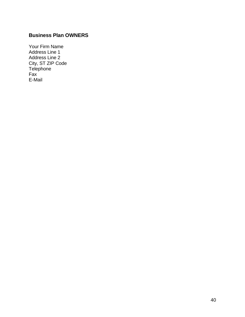## **Business Plan OWNERS**

Your Firm Name Address Line 1 Address Line 2 City, ST ZIP Code **Telephone** Fax E-Mail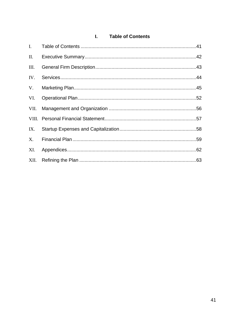#### $\mathbf{L}$ **Table of Contents**

| II.  |  |
|------|--|
| III. |  |
|      |  |
|      |  |
|      |  |
|      |  |
|      |  |
|      |  |
|      |  |
|      |  |
|      |  |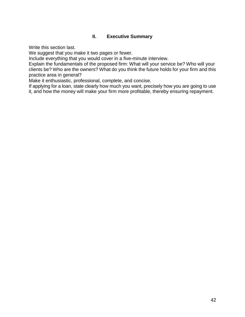## **II. Executive Summary**

Write this section last.

We suggest that you make it two pages or fewer.

Include everything that you would cover in a five-minute interview.

Explain the fundamentals of the proposed firm: What will your service be? Who will your clients be? Who are the owners? What do you think the future holds for your firm and this practice area in general?

Make it enthusiastic, professional, complete, and concise.

If applying for a loan, state clearly how much you want, precisely how you are going to use it, and how the money will make your firm more profitable, thereby ensuring repayment.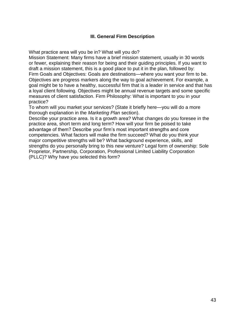## **III. General Firm Description**

What practice area will you be in? What will you do?

Mission Statement: Many firms have a brief mission statement, usually in 30 words or fewer, explaining their reason for being and their guiding principles. If you want to draft a mission statement, this is a good place to put it in the plan, followed by: Firm Goals and Objectives: Goals are destinations—where you want your firm to be. Objectives are progress markers along the way to goal achievement. For example, a goal might be to have a healthy, successful firm that is a leader in service and that has a loyal client following. Objectives might be annual revenue targets and some specific measures of client satisfaction. Firm Philosophy: What is important to you in your practice?

To whom will you market your services? (State it briefly here—you will do a more thorough explanation in the *Marketing Plan* section).

Describe your practice area. Is it a growth area? What changes do you foresee in the practice area, short term and long term? How will your firm be poised to take advantage of them? Describe your firm's most important strengths and core competencies. What factors will make the firm succeed? What do you think your major competitive strengths will be? What background experience, skills, and strengths do you personally bring to this new venture? Legal form of ownership: Sole Proprietor, Partnership, Corporation, Professional Limited Liability Corporation (PLLC)? Why have you selected this form?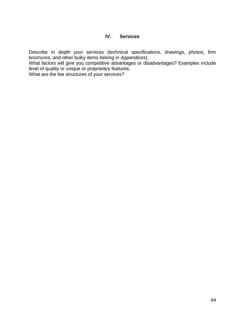## **IV. Services**

Describe in depth your services (technical specifications, drawings, photos, firm brochures, and other bulky items belong in *Appendices*).

What factors will give you competitive advantages or disadvantages? Examples include level of quality or unique or proprietary features.

What are the fee structures of your services?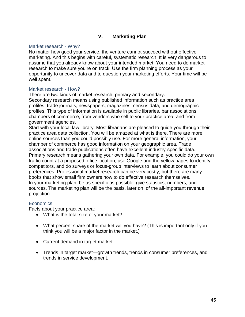## **V. Marketing Plan**

## Market research - Why?

No matter how good your service, the venture cannot succeed without effective marketing. And this begins with careful, systematic research. It is very dangerous to assume that you already know about your intended market. You need to do market research to make sure you're on track. Use the firm planning process as your opportunity to uncover data and to question your marketing efforts. Your time will be well spent.

## Market research - How?

There are two kinds of market research: primary and secondary. Secondary research means using published information such as practice area profiles, trade journals, newspapers, magazines, census data, and demographic profiles. This type of information is available in public libraries, bar associations, chambers of commerce, from vendors who sell to your practice area, and from government agencies.

Start with your local law library. Most librarians are pleased to guide you through their practice area data collection. You will be amazed at what is there. There are more online sources than you could possibly use. For more general information, your chamber of commerce has good information on your geographic area. Trade associations and trade publications often have excellent industry-specific data. Primary research means gathering your own data. For example, you could do your own traffic count at a proposed office location, use Google and the yellow pages to identify competitors, and do surveys or focus-group interviews to learn about consumer preferences. Professional market research can be very costly, but there are many books that show small firm owners how to do effective research themselves. In your marketing plan, be as specific as possible; give statistics, numbers, and sources. The marketing plan will be the basis, later on, of the all-important revenue projection.

## Economics

Facts about your practice area:

- What is the total size of your market?
- What percent share of the market will you have? (This is important only if you think you will be a major factor in the market.)
- Current demand in target market.
- Trends in target market—growth trends, trends in consumer preferences, and trends in service development.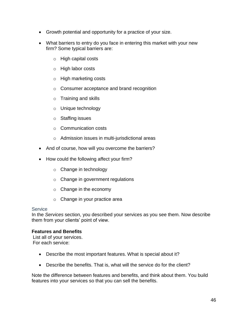- Growth potential and opportunity for a practice of your size.
- What barriers to entry do you face in entering this market with your new firm? Some typical barriers are:
	- o High capital costs
	- o High labor costs
	- o High marketing costs
	- o Consumer acceptance and brand recognition
	- o Training and skills
	- o Unique technology
	- o Staffing issues
	- o Communication costs
	- o Admission issues in multi-jurisdictional areas
- And of course, how will you overcome the barriers?
- How could the following affect your firm?
	- o Change in technology
	- o Change in government regulations
	- o Change in the economy
	- o Change in your practice area

#### **Service**

In the *Services* section, you described your services as you see them. Now describe them from your clients' point of view.

#### **Features and Benefits**

 List all of your services. For each service:

- Describe the most important features. What is special about it?
- Describe the benefits. That is, what will the service do for the client?

Note the difference between features and benefits, and think about them. You build features into your services so that you can sell the benefits.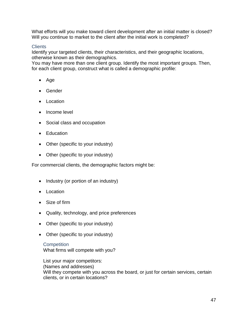What efforts will you make toward client development after an initial matter is closed? Will you continue to market to the client after the initial work is completed?

#### Clients

Identify your targeted clients, their characteristics, and their geographic locations, otherwise known as their demographics.

You may have more than one client group. Identify the most important groups. Then, for each client group, construct what is called a demographic profile:

- Age
- Gender
- Location
- Income level
- Social class and occupation
- Education
- Other (specific to your industry)
- Other (specific to your industry)

For commercial clients, the demographic factors might be:

- Industry (or portion of an industry)
- Location
- Size of firm
- Quality, technology, and price preferences
- Other (specific to your industry)
- Other (specific to your industry)

**Competition** What firms will compete with you?

List your major competitors: (Names and addresses) Will they compete with you across the board, or just for certain services, certain clients, or in certain locations?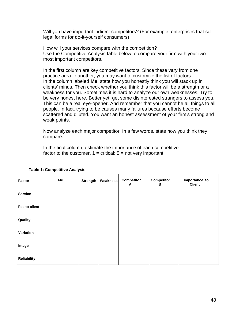Will you have important indirect competitors? (For example, enterprises that sell legal forms for do-it-yourself consumers)

How will your services compare with the competition? Use the Competitive Analysis table below to compare your firm with your two most important competitors.

In the first column are key competitive factors. Since these vary from one practice area to another, you may want to customize the list of factors. In the column labeled **Me**, state how you honestly think you will stack up in clients' minds. Then check whether you think this factor will be a strength or a weakness for you. Sometimes it is hard to analyze our own weaknesses. Try to be very honest here. Better yet, get some disinterested strangers to assess you. This can be a real eye-opener. And remember that you cannot be all things to all people. In fact, trying to be causes many failures because efforts become scattered and diluted. You want an honest assessment of your firm's strong and weak points.

Now analyze each major competitor. In a few words, state how you think they compare.

In the final column, estimate the importance of each competitive factor to the customer.  $1 =$  critical;  $5 =$  not very important.

| Factor             | Me | <b>Strength</b> | Weakness | Competitor<br>A | Competitor<br>В | Importance to<br><b>Client</b> |
|--------------------|----|-----------------|----------|-----------------|-----------------|--------------------------------|
| <b>Service</b>     |    |                 |          |                 |                 |                                |
| Fee to client      |    |                 |          |                 |                 |                                |
| Quality            |    |                 |          |                 |                 |                                |
| Variation          |    |                 |          |                 |                 |                                |
| Image              |    |                 |          |                 |                 |                                |
| <b>Reliability</b> |    |                 |          |                 |                 |                                |

**Table 1: Competitive Analysis**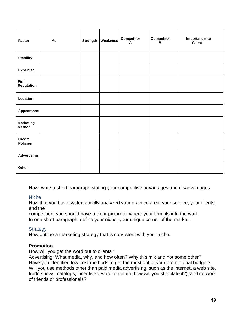| Factor                           | Me | <b>Strength</b> | <b>Weakness</b> | Competitor<br>A | Competitor<br>B | Importance to<br><b>Client</b> |
|----------------------------------|----|-----------------|-----------------|-----------------|-----------------|--------------------------------|
| <b>Stability</b>                 |    |                 |                 |                 |                 |                                |
| <b>Expertise</b>                 |    |                 |                 |                 |                 |                                |
| Firm<br><b>Reputation</b>        |    |                 |                 |                 |                 |                                |
| Location                         |    |                 |                 |                 |                 |                                |
| Appearance                       |    |                 |                 |                 |                 |                                |
| <b>Marketing</b><br>Method       |    |                 |                 |                 |                 |                                |
| <b>Credit</b><br><b>Policies</b> |    |                 |                 |                 |                 |                                |
| <b>Advertising</b>               |    |                 |                 |                 |                 |                                |
| Other                            |    |                 |                 |                 |                 |                                |

Now, write a short paragraph stating your competitive advantages and disadvantages.

## Niche

Now that you have systematically analyzed your practice area, your service, your clients, and the

competition, you should have a clear picture of where your firm fits into the world. In one short paragraph, define your niche, your unique corner of the market.

## **Strategy**

Now outline a marketing strategy that is consistent with your niche.

## **Promotion**

How will you get the word out to clients?

Advertising: What media, why, and how often? Why this mix and not some other? Have you identified low-cost methods to get the most out of your promotional budget? Will you use methods other than paid media advertising, such as the internet, a web site, trade shows, catalogs, incentives, word of mouth (how will you stimulate it?), and network of friends or professionals?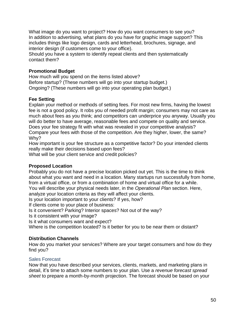What image do you want to project? How do you want consumers to see you? In addition to advertising, what plans do you have for graphic image support? This includes things like logo design, cards and letterhead, brochures, signage, and interior design (if customers come to your office).

Should you have a system to identify repeat clients and then systematically contact them?

## **Promotional Budget**

How much will you spend on the items listed above? Before startup? (These numbers will go into your startup budget.) Ongoing? (These numbers will go into your operating plan budget.)

## **Fee Setting**

Explain your method or methods of setting fees. For most new firms, having the lowest fee is not a good policy. It robs you of needed profit margin; consumers may not care as much about fees as you think; and competitors can underprice you anyway. Usually you will do better to have average, reasonable fees and compete on quality and service. Does your fee strategy fit with what was revealed in your competitive analysis? Compare your fees with those of the competition. Are they higher, lower, the same? Why?

How important is your fee structure as a competitive factor? Do your intended clients really make their decisions based upon fees?

What will be your client service and credit policies?

## **Proposed Location**

Probably you do not have a precise location picked out yet. This is the time to think about what you want and need in a location. Many startups run successfully from home, from a virtual office, or from a combination of home and virtual office for a while. You will describe your physical needs later, in the *Operational Plan* section. Here,

analyze your location criteria as they will affect your clients.

Is your location important to your clients? If yes, how?

If clients come to your place of business:

Is it convenient? Parking? Interior spaces? Not out of the way?

Is it consistent with your image?

Is it what consumers want and expect?

Where is the competition located? Is it better for you to be near them or distant?

## **Distribution Channels**

How do you market your services? Where are your target consumers and how do they find you?

## Sales Forecast

Now that you have described your services, clients, markets, and marketing plans in detail, it's time to attach some numbers to your plan. Use a *revenue forecast spread sheet* to prepare a month-by-month projection. The forecast should be based on your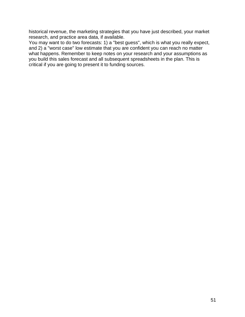historical revenue, the marketing strategies that you have just described, your market research, and practice area data, if available.

You may want to do two forecasts: 1) a "best guess", which is what you really expect, and 2) a "worst case" low estimate that you are confident you can reach no matter what happens. Remember to keep notes on your research and your assumptions as you build this sales forecast and all subsequent spreadsheets in the plan. This is critical if you are going to present it to funding sources.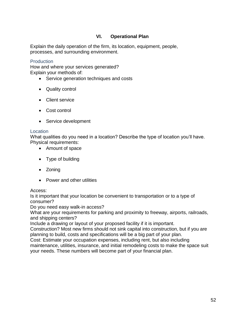## **VI. Operational Plan**

Explain the daily operation of the firm, its location, equipment, people, processes, and surrounding environment.

#### **Production**

How and where your services generated? Explain your methods of:

- Service generation techniques and costs
- Quality control
- Client service
- Cost control
- Service development

## **Location**

What qualities do you need in a location? Describe the type of location you'll have. Physical requirements:

- Amount of space
- Type of building
- Zoning
- Power and other utilities

## Access:

Is it important that your location be convenient to transportation or to a type of consumer?

Do you need easy walk-in access?

What are your requirements for parking and proximity to freeway, airports, railroads, and shipping centers?

Include a drawing or layout of your proposed facility if it is important.

Construction? Most new firms should not sink capital into construction, but if you are planning to build, costs and specifications will be a big part of your plan.

Cost: Estimate your occupation expenses, including rent, but also including maintenance, utilities, insurance, and initial remodeling costs to make the space suit your needs. These numbers will become part of your financial plan.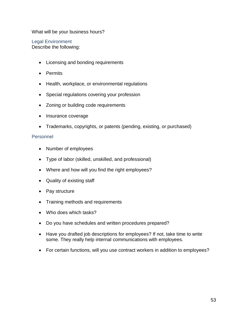What will be your business hours?

Legal Environment

Describe the following:

- Licensing and bonding requirements
- Permits
- Health, workplace, or environmental regulations
- Special regulations covering your profession
- Zoning or building code requirements
- Insurance coverage
- Trademarks, copyrights, or patents (pending, existing, or purchased)

## Personnel

- Number of employees
- Type of labor (skilled, unskilled, and professional)
- Where and how will you find the right employees?
- Quality of existing staff
- Pay structure
- Training methods and requirements
- Who does which tasks?
- Do you have schedules and written procedures prepared?
- Have you drafted job descriptions for employees? If not, take time to write some. They really help internal communications with employees.
- For certain functions, will you use contract workers in addition to employees?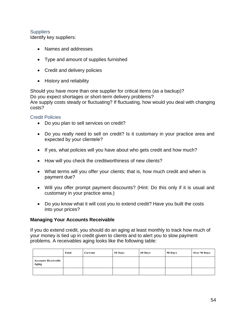## **Suppliers**

Identify key suppliers:

- Names and addresses
- Type and amount of supplies furnished
- Credit and delivery policies
- History and reliability

Should you have more than one supplier for critical items (as a backup)? Do you expect shortages or short-term delivery problems? Are supply costs steady or fluctuating? If fluctuating, how would you deal with changing costs?

## Credit Policies

- Do you plan to sell services on credit?
- Do you really need to sell on credit? Is it customary in your practice area and expected by your clientele?
- If yes, what policies will you have about who gets credit and how much?
- How will you check the creditworthiness of new clients?
- What terms will you offer your clients; that is, how much credit and when is payment due?
- Will you offer prompt payment discounts? (Hint: Do this only if it is usual and customary in your practice area.)
- Do you know what it will cost you to extend credit? Have you built the costs into your prices?

## **Managing Your Accounts Receivable**

If you do extend credit, you should do an aging at least monthly to track how much of your money is tied up in credit given to clients and to alert you to slow payment problems. A receivables aging looks like the following table:

|                                     | Total | Current | 30 Days | 60 Days | 90 Days | Over 90 Days |
|-------------------------------------|-------|---------|---------|---------|---------|--------------|
| <b>Accounts Receivable</b><br>Aging |       |         |         |         |         |              |
|                                     |       |         |         |         |         |              |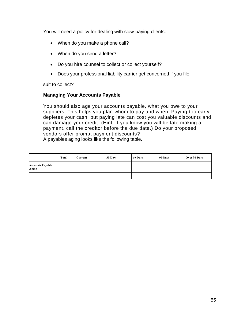You will need a policy for dealing with slow-paying clients:

- When do you make a phone call?
- When do you send a letter?
- Do you hire counsel to collect or collect yourself?
- Does your professional liability carrier get concerned if you file

suit to collect?

## **Managing Your Accounts Payable**

You should also age your accounts payable, what you owe to your suppliers. This helps you plan whom to pay and when. Paying too early depletes your cash, but paying late can cost you valuable discounts and can damage your credit. (Hint: If you know you will be late making a payment, call the creditor before the due date.) Do your proposed vendors offer prompt payment discounts? A payables aging looks like the following table.

|                           | <b>Total</b> | Current | 30 Days | 60 Days | 90 Days | Over 90 Days |
|---------------------------|--------------|---------|---------|---------|---------|--------------|
| Accounts Payable<br>Aging |              |         |         |         |         |              |
|                           |              |         |         |         |         |              |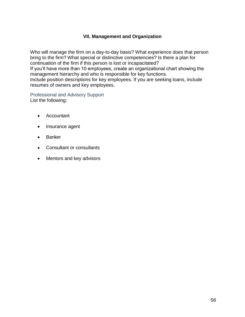## **VII. Management and Organization**

Who will manage the firm on a day-to-day basis? What experience does that person bring to the firm? What special or distinctive competencies? Is there a plan for continuation of the firm if this person is lost or incapacitated? If you'll have more than 10 employees, create an organizational chart showing the management hierarchy and who is responsible for key functions. Include position descriptions for key employees. If you are seeking loans, include resumes of owners and key employees.

## Professional and Advisory Support List the following:

- Accountant
- Insurance agent
- Banker
- Consultant or consultants
- Mentors and key advisors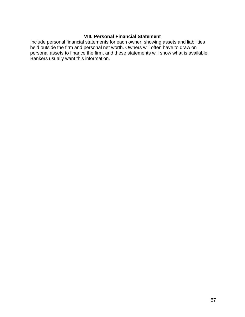#### **VIII. Personal Financial Statement**

Include personal financial statements for each owner, showing assets and liabilities held outside the firm and personal net worth. Owners will often have to draw on personal assets to finance the firm, and these statements will show what is available. Bankers usually want this information.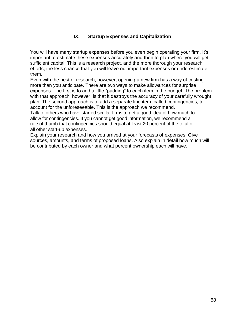## **IX. Startup Expenses and Capitalization**

You will have many startup expenses before you even begin operating your firm. It's important to estimate these expenses accurately and then to plan where you will get sufficient capital. This is a research project, and the more thorough your research efforts, the less chance that you will leave out important expenses or underestimate them.

Even with the best of research, however, opening a new firm has a way of costing more than you anticipate. There are two ways to make allowances for surprise expenses. The first is to add a little "padding" to each item in the budget. The problem with that approach, however, is that it destroys the accuracy of your carefully wrought plan. The second approach is to add a separate line item, called contingencies, to account for the unforeseeable. This is the approach we recommend.

Talk to others who have started similar firms to get a good idea of how much to allow for contingencies. If you cannot get good information, we recommend a rule of thumb that contingencies should equal at least 20 percent of the total of all other start-up expenses.

Explain your research and how you arrived at your forecasts of expenses. Give sources, amounts, and terms of proposed loans. Also explain in detail how much will be contributed by each owner and what percent ownership each will have.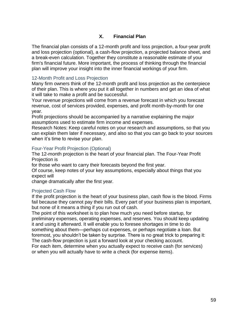## **X. Financial Plan**

The financial plan consists of a 12-month profit and loss projection, a four-year profit and loss projection (optional), a cash-flow projection, a projected balance sheet, and a break-even calculation. Together they constitute a reasonable estimate of your firm's financial future. More important, the process of thinking through the financial plan will improve your insight into the inner financial workings of your firm.

## 12-Month Profit and Loss Projection

Many firm owners think of the 12-month profit and loss projection as the centerpiece of their plan. This is where you put it all together in numbers and get an idea of what it will take to make a profit and be successful.

Your revenue projections will come from a revenue forecast in which you forecast revenue, cost of services provided, expenses, and profit month-by-month for one year.

Profit projections should be accompanied by a narrative explaining the major assumptions used to estimate firm income and expenses.

Research Notes: Keep careful notes on your research and assumptions, so that you can explain them later if necessary, and also so that you can go back to your sources when it's time to revise your plan.

## Four-Year Profit Projection (Optional)

The 12-month projection is the heart of your financial plan. The Four-Year Profit Projection is

for those who want to carry their forecasts beyond the first year.

Of course, keep notes of your key assumptions, especially about things that you expect will

change dramatically after the first year.

## Projected Cash Flow

If the profit projection is the heart of your business plan, cash flow is the blood. Firms fail because they cannot pay their bills. Every part of your business plan is important, but none of it means a thing if you run out of cash.

The point of this worksheet is to plan how much you need before startup, for preliminary expenses, operating expenses, and reserves. You should keep updating it and using it afterward. It will enable you to foresee shortages in time to do something about them—perhaps cut expenses, or perhaps negotiate a loan. But foremost, you shouldn't be taken by surprise. There is no great trick to preparing it: The cash-flow projection is just a forward look at your checking account.

For each item, determine when you actually expect to receive cash (for services) or when you will actually have to write a check (for expense items).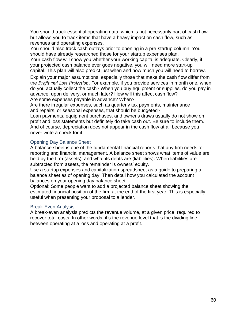You should track essential operating data, which is not necessarily part of cash flow but allows you to track items that have a heavy impact on cash flow, such as revenues and operating expenses.

You should also track cash outlays prior to opening in a pre-startup column. You should have already researched those for your startup expenses plan.

Your cash flow will show you whether your working capital is adequate. Clearly, if your projected cash balance ever goes negative, you will need more start-up capital. This plan will also predict just when and how much you will need to borrow.

Explain your major assumptions, especially those that make the cash flow differ from the *Profit and Loss Projection*. For example, if you provide services in month one, when do you actually collect the cash? When you buy equipment or supplies, do you pay in advance, upon delivery, or much later? How will this affect cash flow? Are some expenses payable in advance? When?

Are there irregular expenses, such as quarterly tax payments, maintenance and repairs, or seasonal expenses, that should be budgeted?

Loan payments, equipment purchases, and owner's draws usually do not show on profit and loss statements but definitely do take cash out. Be sure to include them. And of course, depreciation does not appear in the cash flow at all because you never write a check for it.

## Opening Day Balance Sheet

A balance sheet is one of the fundamental financial reports that any firm needs for reporting and financial management. A balance sheet shows what items of value are held by the firm (assets), and what its debts are (liabilities). When liabilities are subtracted from assets, the remainder is owners' equity.

Use a startup expenses and capitalization spreadsheet as a guide to preparing a balance sheet as of opening day. Then detail how you calculated the account balances on your opening day balance sheet.

Optional: Some people want to add a projected balance sheet showing the estimated financial position of the firm at the end of the first year. This is especially useful when presenting your proposal to a lender.

#### Break-Even Analysis

A break-even analysis predicts the revenue volume, at a given price, required to recover total costs. In other words, it's the revenue level that is the dividing line between operating at a loss and operating at a profit.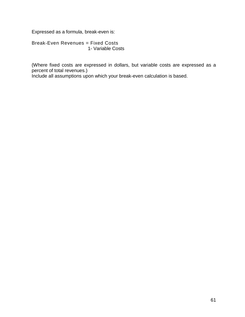Expressed as a formula, break-even is:

Break-Even Revenues = Fixed Costs 1- Variable Costs

(Where fixed costs are expressed in dollars, but variable costs are expressed as a percent of total revenues.)

Include all assumptions upon which your break-even calculation is based.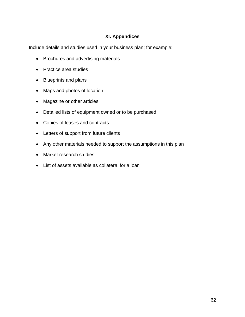## **XI. Appendices**

Include details and studies used in your business plan; for example:

- Brochures and advertising materials
- Practice area studies
- Blueprints and plans
- Maps and photos of location
- Magazine or other articles
- Detailed lists of equipment owned or to be purchased
- Copies of leases and contracts
- Letters of support from future clients
- Any other materials needed to support the assumptions in this plan
- Market research studies
- List of assets available as collateral for a loan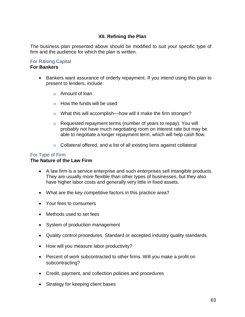## **XII. Refining the Plan**

The business plan presented above should be modified to suit your specific type of firm and the audience for which the plan is written.

#### For Raising Capital **For Bankers**

## • Bankers want assurance of orderly repayment. If you intend using this plan to present to lenders, include:

- o Amount of loan
- $\circ$  How the funds will be used
- o What this will accomplish—how will it make the firm stronger?
- o Requested repayment terms (number of years to repay). You will probably not have much negotiating room on interest rate but may be able to negotiate a longer repayment term, which will help cash flow.
- o Collateral offered, and a list of all existing liens against collateral

#### For Type of Firm **The Nature of the Law Firm**

- A law firm is a service enterprise and such enterprises sell intangible products. They are usually more flexible than other types of businesses, but they also have higher labor costs and generally very little in fixed assets.
- What are the key competitive factors in this practice area?
- Your fees to consumers
- Methods used to set fees
- System of production management
- Quality control procedures. Standard or accepted industry quality standards.
- How will you measure labor productivity?
- Percent of work subcontracted to other firms. Will you make a profit on subcontracting?
- Credit, payment, and collection policies and procedures
- Strategy for keeping client bases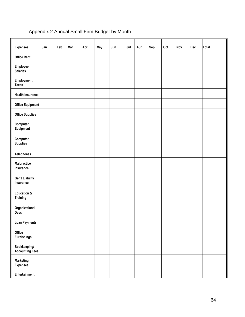## Appendix 2 Annual Small Firm Budget by Month

| <b>Expenses</b>                           | Jan | Feb | Mar | Apr | May | Jun | Jul | Aug | <b>Sep</b> | Oct | Nov | Dec | Total |
|-------------------------------------------|-----|-----|-----|-----|-----|-----|-----|-----|------------|-----|-----|-----|-------|
| <b>Office Rent</b>                        |     |     |     |     |     |     |     |     |            |     |     |     |       |
| Employee<br><b>Salaries</b>               |     |     |     |     |     |     |     |     |            |     |     |     |       |
| Employment<br><b>Taxes</b>                |     |     |     |     |     |     |     |     |            |     |     |     |       |
| <b>Health Insurance</b>                   |     |     |     |     |     |     |     |     |            |     |     |     |       |
| <b>Office Equipment</b>                   |     |     |     |     |     |     |     |     |            |     |     |     |       |
| <b>Office Supplies</b>                    |     |     |     |     |     |     |     |     |            |     |     |     |       |
| Computer<br>Equipment                     |     |     |     |     |     |     |     |     |            |     |     |     |       |
| Computer<br><b>Supplies</b>               |     |     |     |     |     |     |     |     |            |     |     |     |       |
| <b>Telephones</b>                         |     |     |     |     |     |     |     |     |            |     |     |     |       |
| Malpractice<br>Insurance                  |     |     |     |     |     |     |     |     |            |     |     |     |       |
| <b>Gen'l Liability</b><br>Insurance       |     |     |     |     |     |     |     |     |            |     |     |     |       |
| <b>Education &amp;</b><br><b>Training</b> |     |     |     |     |     |     |     |     |            |     |     |     |       |
| Organizational<br><b>Dues</b>             |     |     |     |     |     |     |     |     |            |     |     |     |       |
| <b>Loan Payments</b>                      |     |     |     |     |     |     |     |     |            |     |     |     |       |
| Office<br>Furnishings                     |     |     |     |     |     |     |     |     |            |     |     |     |       |
| Bookkeeping/<br><b>Accounting Fees</b>    |     |     |     |     |     |     |     |     |            |     |     |     |       |
| Marketing<br><b>Expenses</b>              |     |     |     |     |     |     |     |     |            |     |     |     |       |
| Entertainment                             |     |     |     |     |     |     |     |     |            |     |     |     |       |